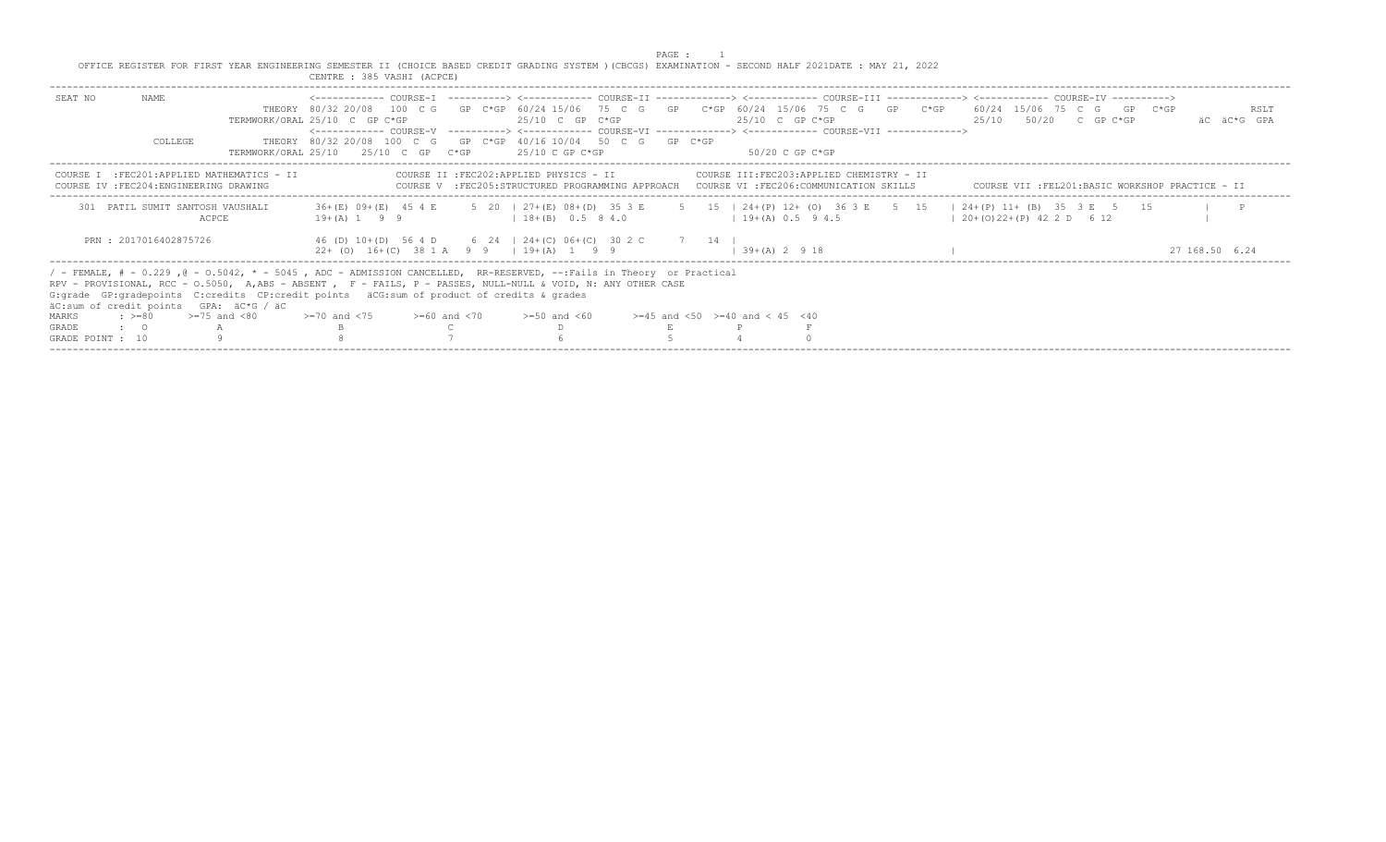PAGE : 1<br>OFFICE REGISTER FOR FIRST YEAR ENGINEERING SEMESTER II (CHOICE BASED CREDIT GRADING SYSTEM )(CBCGS) EXAMINATION - SECOND HALF 2021DATE : MAY 21, 2022<br>CENTRE : 385 VASHI (ACPCE)

| SEAT NO          | NAME<br>COLLEGE.                                |                                                                                                                                                                                                                                                                                                                                       | TERMWORK/ORAL 25/10 C GP C*GP<br><------------- COURSE-V ----------> <------------ COURSE-VI -------------> <------------ COURSE-VII ------------><br>THEORY 80/32 20/08 100 C G GP C*GP 40/16 10/04 50 C G GP C*GP<br>TERMWORK/ORAL 25/10 $\pm$ 25/10 C GP C*GP $\pm$ 25/10 C GP C*GP |  | $25/10$ C GP C*GP  |                                                                                                                                                                                |                    | $25/10$ C GP C*GP<br>50/20 C GP C*GP |  | <------------- COURSE-T -----------> <------------ COURSE-TT -------------> <----------- COURSE-TT ------------ COURSE-TT ------------ COURSE-TT ----------- COURSE-TT<br>THEORY 80/32 20/08 100 C G GP C*GP 60/24 15/06 75 C G GP C*GP 60/24 15/06 75 C G GP C*GP 60/24 15/06 75 C G GP C*GP<br>25/10 50/20 C GP C*GP | RSLT<br>äC äC*G GPA |
|------------------|-------------------------------------------------|---------------------------------------------------------------------------------------------------------------------------------------------------------------------------------------------------------------------------------------------------------------------------------------------------------------------------------------|----------------------------------------------------------------------------------------------------------------------------------------------------------------------------------------------------------------------------------------------------------------------------------------|--|--------------------|--------------------------------------------------------------------------------------------------------------------------------------------------------------------------------|--------------------|--------------------------------------|--|------------------------------------------------------------------------------------------------------------------------------------------------------------------------------------------------------------------------------------------------------------------------------------------------------------------------|---------------------|
|                  | COURSE IV : FEC204: ENGINEERING DRAWING         | COURSE I : FEC201: APPLIED MATHEMATICS - II                                                                                                                                                                                                                                                                                           |                                                                                                                                                                                                                                                                                        |  |                    | COURSE II :FEC202:APPLIED PHYSICS - II COURSE III:FEC203:APPLIED CHEMISTRY - II<br>COURSE V : FEC205: STRUCTURED PROGRAMMING APPROACH COURSE VI : FEC206: COMMUNICATION SKILLS |                    |                                      |  | COURSE VII :FEL201:BASIC WORKSHOP PRACTICE - II                                                                                                                                                                                                                                                                        |                     |
|                  | 301 PATIL SUMIT SANTOSH VAUSHALI                | <b>ACPCE</b>                                                                                                                                                                                                                                                                                                                          | $19 + (A) 1 9 9$                                                                                                                                                                                                                                                                       |  | $18+(B)$ 0.5 8 4.0 |                                                                                                                                                                                | $19+(A) 0.5 9 4.5$ |                                      |  | 36+(E) 09+(E) 45 4 E 5 20   27+(E) 08+(D) 35 3 E 5 15   24+(P) 12+ (O) 36 3 E 5 15   24+(P) 11+ (B) 35 3 E 5 15<br>$(20+(0)22+(P) 42 2 D 6 12)$                                                                                                                                                                        |                     |
|                  | PRN : 2017016402875726                          |                                                                                                                                                                                                                                                                                                                                       | 46 (D) 10+(D) 56 4 D 6 24   24+(C) 06+(C) 30 2 C 7 14  <br>$22+$ (0) $16+(C)$ 38 1 A 9 9   $19+(A)$ 1 9 9                                                                                                                                                                              |  |                    |                                                                                                                                                                                | $139+(A)2918$      |                                      |  |                                                                                                                                                                                                                                                                                                                        | 27 168.50 6.24      |
|                  | äC:sum of credit points GPA: äC*G / äC          | / - FEMALE, # - 0.229, @ - 0.5042, * - 5045, ADC - ADMISSION CANCELLED, RR-RESERVED, --:Fails in Theory or Practical<br>RPV - PROVISIONAL, RCC - 0.5050, A,ABS - ABSENT , F - FAILS, P - PASSES, NULL-NULL & VOID, N: ANY OTHER CASE<br>G: qrade GP: qradepoints C: credits CP: credit points äCG: sum of product of credits & qrades |                                                                                                                                                                                                                                                                                        |  |                    |                                                                                                                                                                                |                    |                                      |  |                                                                                                                                                                                                                                                                                                                        |                     |
| MARKS            | $\Rightarrow$ $>=$ 80 $\Rightarrow$ =75 and <80 |                                                                                                                                                                                                                                                                                                                                       | $>=70$ and $<75$ $>=60$ and $<70$                                                                                                                                                                                                                                                      |  | $>=50$ and $<60$   | $>=45$ and $<50$ $>=40$ and $< 45$ $<40$                                                                                                                                       |                    |                                      |  |                                                                                                                                                                                                                                                                                                                        |                     |
| <b>GRADE</b>     | $\cdot$ 0 a $\cdot$ A                           |                                                                                                                                                                                                                                                                                                                                       |                                                                                                                                                                                                                                                                                        |  |                    |                                                                                                                                                                                |                    |                                      |  |                                                                                                                                                                                                                                                                                                                        |                     |
| GRADE POINT : 10 |                                                 |                                                                                                                                                                                                                                                                                                                                       |                                                                                                                                                                                                                                                                                        |  |                    |                                                                                                                                                                                |                    |                                      |  |                                                                                                                                                                                                                                                                                                                        |                     |
|                  |                                                 |                                                                                                                                                                                                                                                                                                                                       |                                                                                                                                                                                                                                                                                        |  |                    |                                                                                                                                                                                |                    |                                      |  |                                                                                                                                                                                                                                                                                                                        |                     |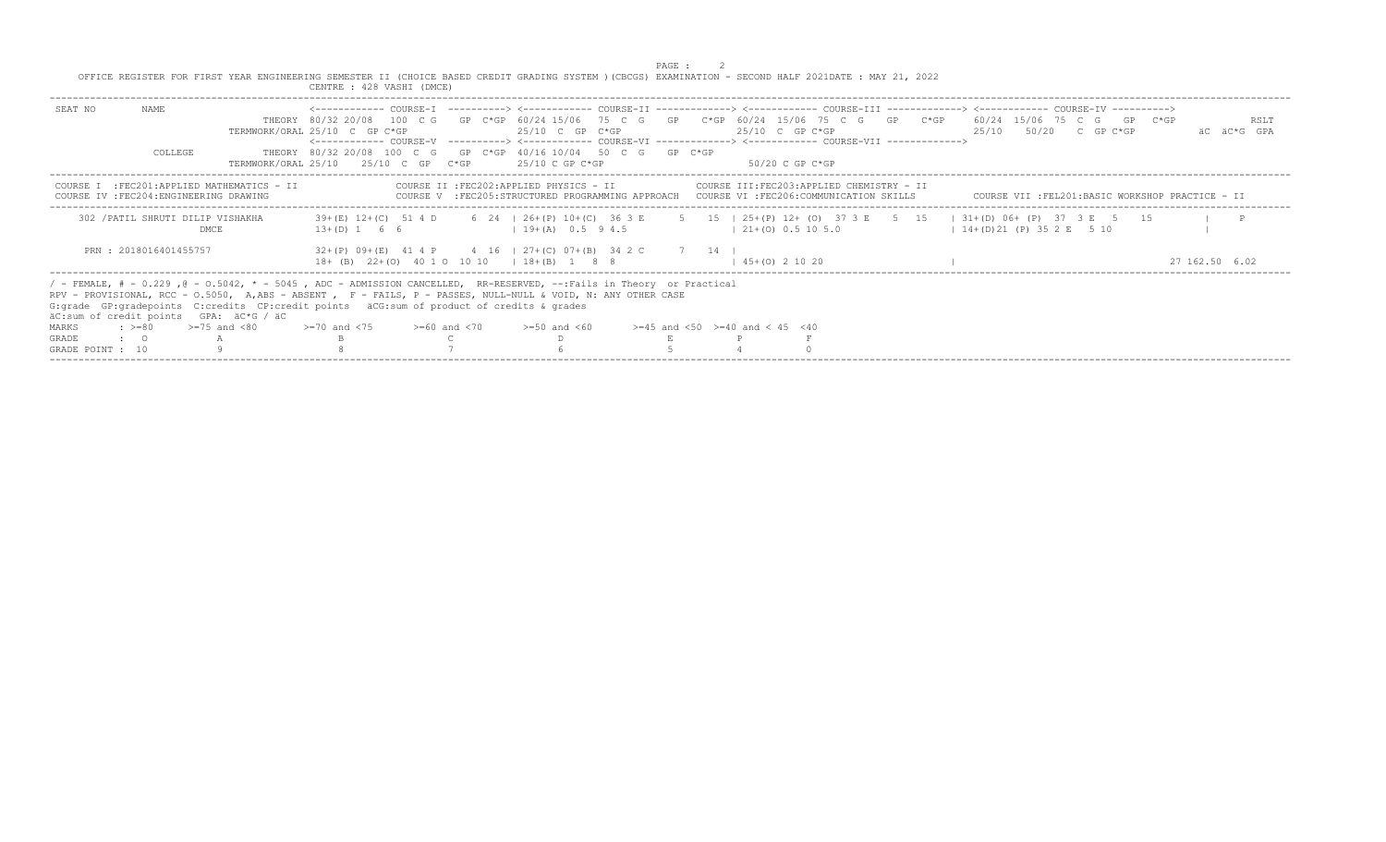|                  |                                         |                                                                                                                                                                                                                                                                                                                                                                                 |                                                                                                                                                      |  |                              | PAGE : |                                          |                                                                                                                                                                            |                        |                       |                                                 |
|------------------|-----------------------------------------|---------------------------------------------------------------------------------------------------------------------------------------------------------------------------------------------------------------------------------------------------------------------------------------------------------------------------------------------------------------------------------|------------------------------------------------------------------------------------------------------------------------------------------------------|--|------------------------------|--------|------------------------------------------|----------------------------------------------------------------------------------------------------------------------------------------------------------------------------|------------------------|-----------------------|-------------------------------------------------|
|                  |                                         | OFFICE REGISTER FOR FIRST YEAR ENGINEERING SEMESTER II (CHOICE BASED CREDIT GRADING SYSTEM ) (CBCGS) EXAMINATION - SECOND HALF 2021DATE : MAY 21, 2022                                                                                                                                                                                                                          | CENTRE : 428 VASHI (DMCE)                                                                                                                            |  |                              |        |                                          |                                                                                                                                                                            |                        |                       |                                                 |
| SEAT NO          | NAME                                    |                                                                                                                                                                                                                                                                                                                                                                                 | THEORY 80/32 20/08 100 C G GP C*GP 60/24 15/06 75 C G GP C*GP 60/24 15/06 75 C G GP C*GP 60/24 15/06 75 C G GP C*GP<br>TERMWORK/ORAL 25/10 C GP C*GP |  | $25/10$ C GP C*GP            |        | $25/10$ C GP C*GP                        | <------------ COURSE-V ----------> <------------ COURSE-VI -------------> <------------ COURSE-VII ------------->                                                          |                        | 25/10 50/20 C GP C*GP | RSLT<br>AC AC*G GPA                             |
|                  | COLLEGE                                 |                                                                                                                                                                                                                                                                                                                                                                                 | THEORY 80/32 20/08 100 C G GP C*GP 40/16 10/04 50 C G GP C*GP<br>$TERMWORK/ORAL$ 25/10 $25/10$ C GP $C*GP$                                           |  | 25/10 C GP C*GP              |        |                                          | -50/20 C GP C*GP                                                                                                                                                           |                        |                       |                                                 |
|                  | COURSE IV : FEC204: ENGINEERING DRAWING | COURSE I : FEC201: APPLIED MATHEMATICS - II                                                                                                                                                                                                                                                                                                                                     |                                                                                                                                                      |  |                              |        |                                          | COURSE II :FEC202:APPLIED PHYSICS - II COURSE III:FEC203:APPLIED CHEMISTRY - II<br>COURSE V :FEC205:STRUCTURED PROGRAMMING APPROACH COURSE VI :FEC206:COMMUNICATION SKILLS |                        |                       | COURSE VII :FEL201:BASIC WORKSHOP PRACTICE - II |
|                  | 302 / PATIL SHRUTI DILIP VISHAKHA       | DMCE                                                                                                                                                                                                                                                                                                                                                                            | $13+(D)$ 1 6 6                                                                                                                                       |  | $1 \t19 + (A) \t0.5 \t9 4.5$ |        | $(21 + (0) 0.5 10 5.0$                   | 39+(E) 12+(C) 51 4 D 6 24   26+(P) 10+(C) 36 3 E 5 15   25+(P) 12+ (O) 37 3 E 5 15   31+(D) 06+ (P) 37 3 E 5 15                                                            | $14+(D)21(P)352E$ 5 10 |                       |                                                 |
|                  | PRN: 2018016401455757                   |                                                                                                                                                                                                                                                                                                                                                                                 | $32+(P)$ 09+(E) 41 4 P 4 16   27+(C) 07+(B) 34 2 C 7 14  <br>18+ (B) 22+(0) 40 1 0 10 10   18+(B) 1 8 8                                              |  |                              |        | $(45 + (0) 2 10 20)$                     |                                                                                                                                                                            |                        |                       | 27 162 50 6.02                                  |
|                  |                                         | / - FEMALE, # - 0.229, @ - 0.5042, * - 5045, ADC - ADMISSION CANCELLED, RR-RESERVED, --:Fails in Theory or Practical<br>RPV - PROVISIONAL, RCC - 0.5050, A, ABS - ABSENT, F - FAILS, P - PASSES, NULL-NULL & VOID, N: ANY OTHER CASE<br>G: grade GP: gradepoints C: credits CP: credit points äCG: sum of product of credits & grades<br>äC:sum of credit points GPA: äC*G / äC |                                                                                                                                                      |  |                              |        |                                          |                                                                                                                                                                            |                        |                       |                                                 |
| MARKS            | $\div$ >=80 >=75 and <80                |                                                                                                                                                                                                                                                                                                                                                                                 | $>=70$ and $<75$ $>=60$ and $<70$ $>=50$ and $<60$                                                                                                   |  |                              |        | $>=45$ and $<50$ $>=40$ and $< 45$ $<40$ |                                                                                                                                                                            |                        |                       |                                                 |
| <b>GRADE</b>     | $\cdot$ $\cdot$ 0                       |                                                                                                                                                                                                                                                                                                                                                                                 |                                                                                                                                                      |  |                              |        |                                          |                                                                                                                                                                            |                        |                       |                                                 |
| GRADE POINT : 10 |                                         |                                                                                                                                                                                                                                                                                                                                                                                 |                                                                                                                                                      |  |                              |        |                                          |                                                                                                                                                                            |                        |                       |                                                 |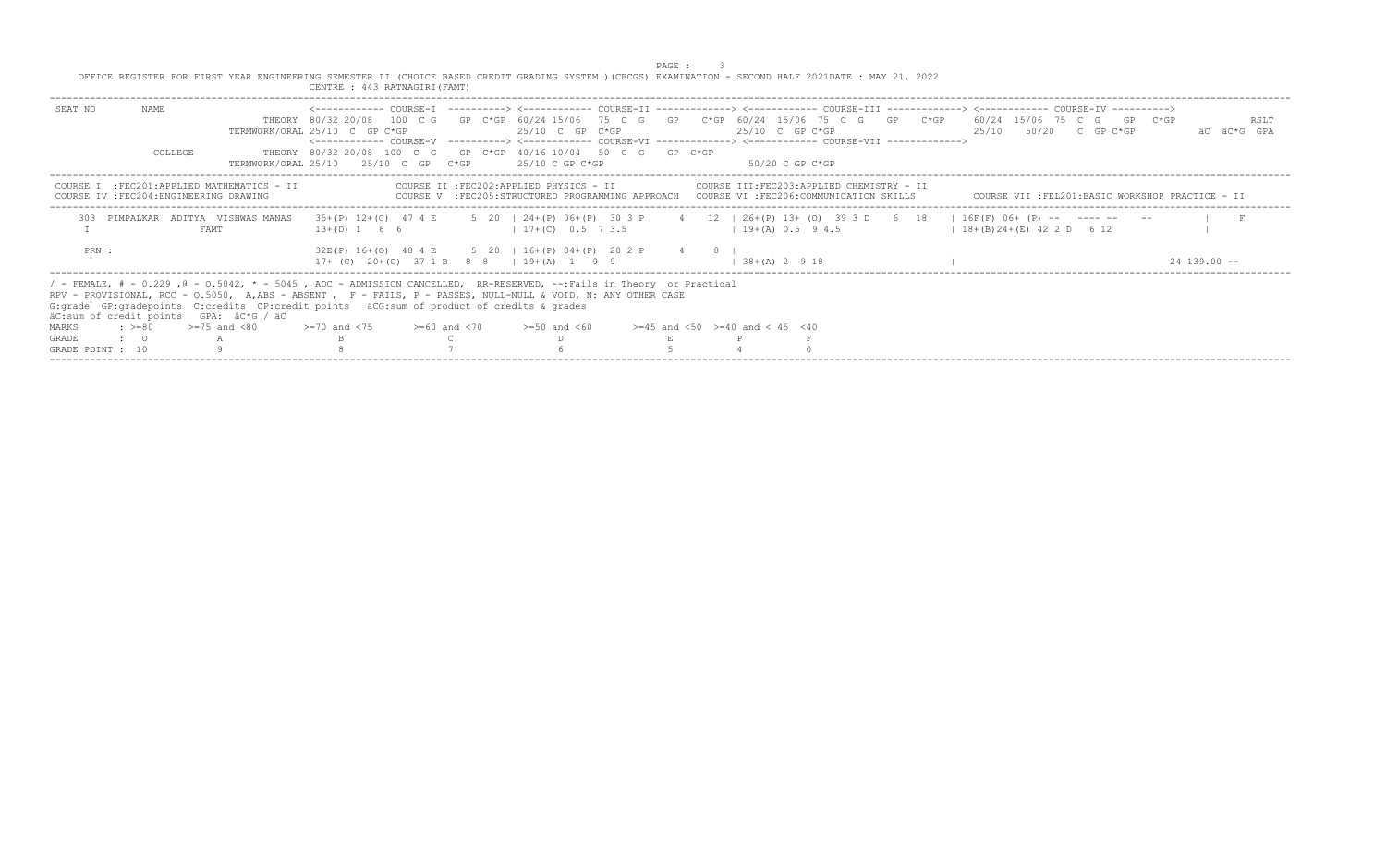|                  |           |                                                                                                                                                                                                                                                                                                                                                                                 |                                                                                                                                                      |  |                                                                                                          | PAGE : |                                                                                                                                                                            |  |                           |                                                 |                     |
|------------------|-----------|---------------------------------------------------------------------------------------------------------------------------------------------------------------------------------------------------------------------------------------------------------------------------------------------------------------------------------------------------------------------------------|------------------------------------------------------------------------------------------------------------------------------------------------------|--|----------------------------------------------------------------------------------------------------------|--------|----------------------------------------------------------------------------------------------------------------------------------------------------------------------------|--|---------------------------|-------------------------------------------------|---------------------|
|                  |           | OFFICE REGISTER FOR FIRST YEAR ENGINEERING SEMESTER II (CHOICE BASED CREDIT GRADING SYSTEM ) (CBCGS) EXAMINATION - SECOND HALF 2021DATE : MAY 21, 2022                                                                                                                                                                                                                          | CENTRE : 443 RATNAGIRI (FAMT)                                                                                                                        |  |                                                                                                          |        |                                                                                                                                                                            |  |                           |                                                 |                     |
| SEAT NO          | NAME      |                                                                                                                                                                                                                                                                                                                                                                                 | THEORY 80/32 20/08 100 C G GP C*GP 60/24 15/06 75 C G GP C*GP 60/24 15/06 75 C G GP C*GP 60/24 15/06 75 C G GP C*GP<br>TERMWORK/ORAL 25/10 C GP C*GP |  | $25/10$ C GP C*GP                                                                                        |        | 25/10 C GP C*GP<br><------------ COURSE-V ----------> <------------ COURSE-VI -------------> <------------ COURSE-VII ------------->                                       |  | $25/10$ $50/20$ C GP C*GP |                                                 | RSLT<br>AC AC*G GPA |
|                  | COLLEGE   |                                                                                                                                                                                                                                                                                                                                                                                 | THEORY 80/32 20/08 100 C G GP C*GP 40/16 10/04 50 C G GP C*GP<br>$TERMWORK/ORAL$ 25/10 $25/10$ C GP $C*GP$                                           |  | 25/10 C GP C*GP                                                                                          |        | 50/20 C GP C*GP                                                                                                                                                            |  |                           |                                                 |                     |
| COURSE T         |           | :FEC201:APPLIED MATHEMATICS - II<br>COURSE IV : FEC204: ENGINEERING DRAWING                                                                                                                                                                                                                                                                                                     |                                                                                                                                                      |  |                                                                                                          |        | COURSE II :FEC202:APPLIED PHYSICS - II COURSE III:FEC203:APPLIED CHEMISTRY - II<br>COURSE V :FEC205:STRUCTURED PROGRAMMING APPROACH COURSE VI :FEC206:COMMUNICATION SKILLS |  |                           | COURSE VII :FEL201:BASIC WORKSHOP PRACTICE - II |                     |
|                  |           | PIMPALKAR ADITYA VISHWAS MANAS<br>FAMT                                                                                                                                                                                                                                                                                                                                          | $13+(D)$ 1 6 6                                                                                                                                       |  | $1 \t17 + (C) \t0.5 \t7.3.5$                                                                             |        | 35+(P) 12+(C) 47 4 E 5 20   24+(P) 06+(P) 30 3 P 4 12   26+(P) 13+ (O) 39 3 D 6 18   16F(F) 06+ (P) -- ---- -- --<br>$1 \t19 + (A) \t0.5 \t9 4.5$                          |  | $128+(B)24+(E)422D612$    |                                                 |                     |
| PRN :            |           |                                                                                                                                                                                                                                                                                                                                                                                 |                                                                                                                                                      |  | 32E(P) 16+(O) 48 4 E 5 20   16+(P) 04+(P) 20 2 P 4 8  <br>$17+$ (C) $20+(0)$ 37 1 B 8 8   19 + (A) 1 9 9 |        | $1, 38 + (A)$ 2 9 18                                                                                                                                                       |  |                           |                                                 | $24$ 139 00 $-$     |
|                  |           | / - FEMALE, # - 0.229, @ - 0.5042, * - 5045, ADC - ADMISSION CANCELLED, RR-RESERVED, --:Fails in Theory or Practical<br>RPV - PROVISIONAL, RCC - 0.5050, A, ABS - ABSENT, F - FAILS, P - PASSES, NULL-NULL & VOID, N: ANY OTHER CASE<br>G: qrade GP: qradepoints C: credits CP: credit points äCG: sum of product of credits & qrades<br>äC:sum of credit points GPA: äC*G / äC |                                                                                                                                                      |  |                                                                                                          |        |                                                                                                                                                                            |  |                           |                                                 |                     |
| MARKS            |           | $\div$ >=80 >=75 and <80                                                                                                                                                                                                                                                                                                                                                        | $>=70$ and $<75$ $>=60$ and $<70$                                                                                                                    |  | $>=50$ and $<60$                                                                                         |        | $>=45$ and $<50$ $>=40$ and $< 45$ $<40$                                                                                                                                   |  |                           |                                                 |                     |
| <b>GRADE</b>     | $\cdot$ 0 |                                                                                                                                                                                                                                                                                                                                                                                 |                                                                                                                                                      |  |                                                                                                          |        |                                                                                                                                                                            |  |                           |                                                 |                     |
| GRADE POINT : 10 |           |                                                                                                                                                                                                                                                                                                                                                                                 |                                                                                                                                                      |  |                                                                                                          |        |                                                                                                                                                                            |  |                           |                                                 |                     |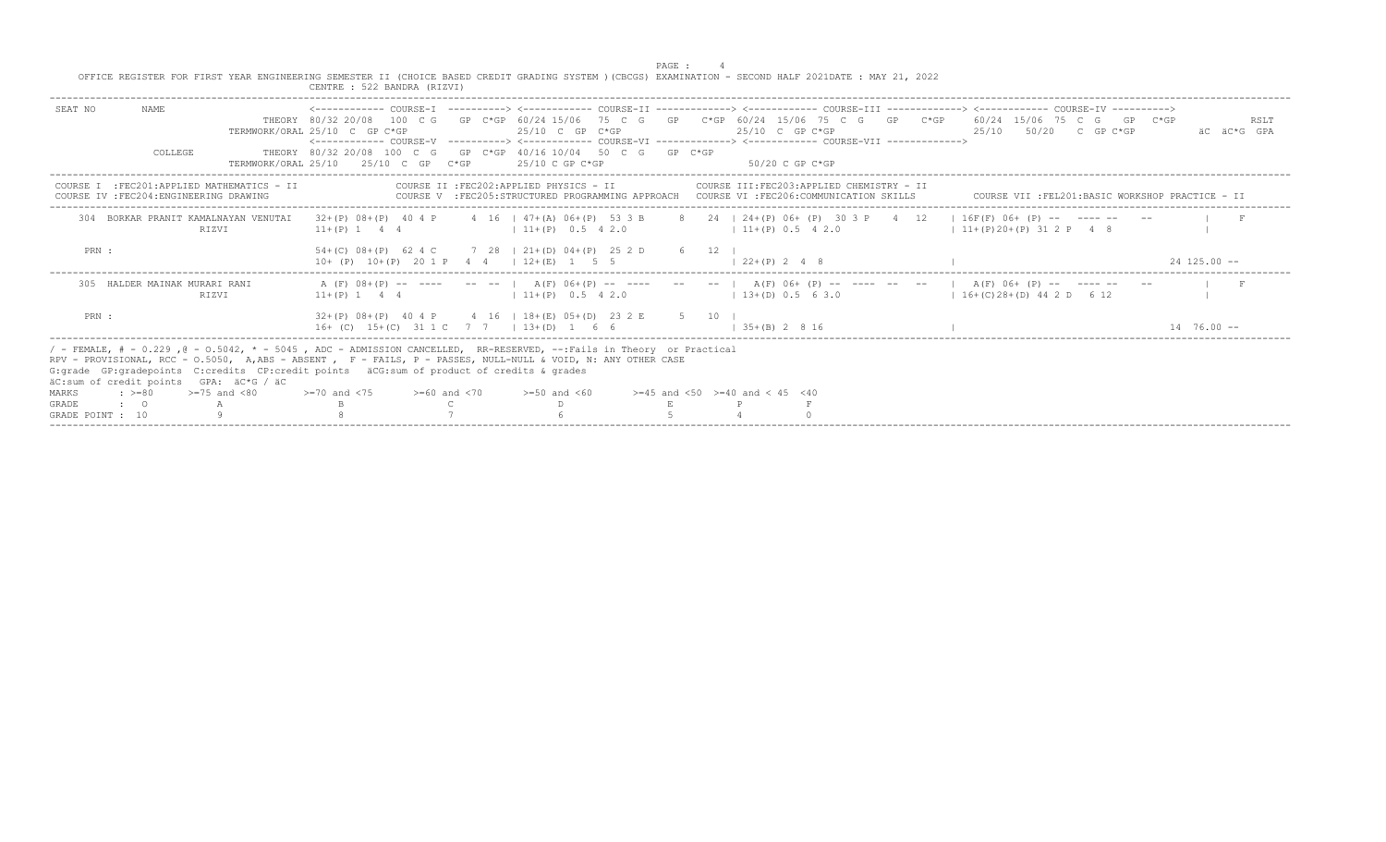| OFFICE REGISTER FOR FIRST YEAR ENGINEERING SEMESTER II (CHOICE BASED CREDIT GRADING SYSTEM ) (CBCGS) EXAMINATION - SECOND HALF 2021DATE : MAY 21, 2022                                                                                                                                                                                                                                                                            | CENTRE : 522 BANDRA (RIZVI)                         |                                                                                                                                        | PAGE :                                   |                                                  |                                                                                                                                                |                     |
|-----------------------------------------------------------------------------------------------------------------------------------------------------------------------------------------------------------------------------------------------------------------------------------------------------------------------------------------------------------------------------------------------------------------------------------|-----------------------------------------------------|----------------------------------------------------------------------------------------------------------------------------------------|------------------------------------------|--------------------------------------------------|------------------------------------------------------------------------------------------------------------------------------------------------|---------------------|
| NAMF.<br>SEAT NO                                                                                                                                                                                                                                                                                                                                                                                                                  | TERMWORK/ORAL 25/10 C GP C*GP                       | $25/10$ C GP C*GP<br><------------ COURSE-V ----------> <------------ COURSE-VI -------------> <------------ COURSE-VII -------------> |                                          | 25/10 C GP C*GP                                  | THEORY 80/32 20/08 100 C G GP C*GP 60/24 15/06 75 C G GP C*GP 60/24 15/06 75 C G GP C*GP 60/24 15/06 75 C G GP C*GP<br>25/10 50/20 C GP C*GP   | RSLT<br>äC äC*G GPA |
| COLLEGE                                                                                                                                                                                                                                                                                                                                                                                                                           | TERMWORK/ORAL 25/10 25/10 C GP C*GP 25/10 C GP C*GP | THEORY 80/32 20/08 100 C G GP C*GP 40/16 10/04 50 C G GP C*GP                                                                          |                                          | 50/20 C GP C*GP                                  |                                                                                                                                                |                     |
| COURSE I : FEC201: APPLIED MATHEMATICS - II<br>COURSE IV : FEC204: ENGINEERING DRAWING                                                                                                                                                                                                                                                                                                                                            |                                                     | COURSE II : FEC202: APPLIED PHYSICS - II<br>COURSE V :FEC205:STRUCTURED PROGRAMMING APPROACH COURSE VI :FEC206:COMMUNICATION SKILLS    |                                          | COURSE III:FEC203:APPLIED CHEMISTRY - II         | COURSE VII : FEL201: BASIC WORKSHOP PRACTICE - II                                                                                              |                     |
| 304 BORKAR PRANIT KAMALNAYAN VENUTAI<br>RIZVI                                                                                                                                                                                                                                                                                                                                                                                     |                                                     | $11+(P)$ 1 4 4 $(11+(P)$ 0.5 4 2.0                                                                                                     | $11+(P)$ 0.5 4 2.0                       |                                                  | $32+(P)$ 08+(P) 40 4 P 4 16   47+(A) 06+(P) 53 3 B 8 24   24+(P) 06+ (P) 30 3 P 4 12   16F(F) 06+ (P) -- ---- -- --<br>$11+(P)20+(P)312 P$ 4 8 |                     |
| PRN :                                                                                                                                                                                                                                                                                                                                                                                                                             | $10+$ (P) $10+(P)$ 20 1 P 4 4   $12+(E)$ 1 5 5      | 54+(C) 08+(P) 62 4 C 7 28   21+(D) 04+(P) 25 2 D 6 12                                                                                  | $122+(P) 248$                            |                                                  |                                                                                                                                                | $24$ 125 00 $-$     |
| 305 HALDER MAINAK MURARI RANI<br>RIZVI                                                                                                                                                                                                                                                                                                                                                                                            |                                                     | $11+(P)$ 1 4 4 $(11+(P)$ 0.5 4 2.0                                                                                                     |                                          | $(13+(D) 0.5 6 3.0$ $(16+(C)28+(D) 44 2 D 6 12)$ | A (F) $08+(P)$ -- ---- -- --   A(F) $06+(P)$ -- ---- --   A(F) $06+(P)$ -- ---- -- --   A(F) $06+(P)$ -- ---- -- --                            |                     |
| PRN :                                                                                                                                                                                                                                                                                                                                                                                                                             | 16+ (C) 15+ (C) 31 1 C 7 7   13+ (D) 1 6 6          | $32+(P)$ 08+(P) 40 4 P 4 16   18+(E) 05+(D) 23 2 E 5 10                                                                                | $1 \t35+(B) \t2 \t8 \t16$                |                                                  |                                                                                                                                                | $14, 76, 00 -$      |
| / - FEMALE, # - 0.229, @ - 0.5042, * - 5045, ADC - ADMISSION CANCELLED, RR-RESERVED, --:Fails in Theory or Practical<br>RPV - PROVISIONAL, RCC - 0.5050, A,ABS - ABSENT , F - FAILS, P - PASSES, NULL-NULL & VOID, N: ANY OTHER CASE<br>G: grade GP: gradepoints C: credits CP: credit points äCG: sum of product of credits & grades<br>äC:sum of credit points GPA: äC*G / äC<br>$\cdot$ $> = 80$<br>$>=75$ and $< 80$<br>MARKS | $>=70$ and $<75$ $>=60$ and $<70$                   | $>=50$ and $<60$                                                                                                                       | $>=45$ and $<50$ $>=40$ and $< 45$ $<40$ |                                                  |                                                                                                                                                |                     |
| GRADE<br>$\cdot$ 0 A<br>GRADE POINT : 10                                                                                                                                                                                                                                                                                                                                                                                          |                                                     |                                                                                                                                        |                                          |                                                  |                                                                                                                                                |                     |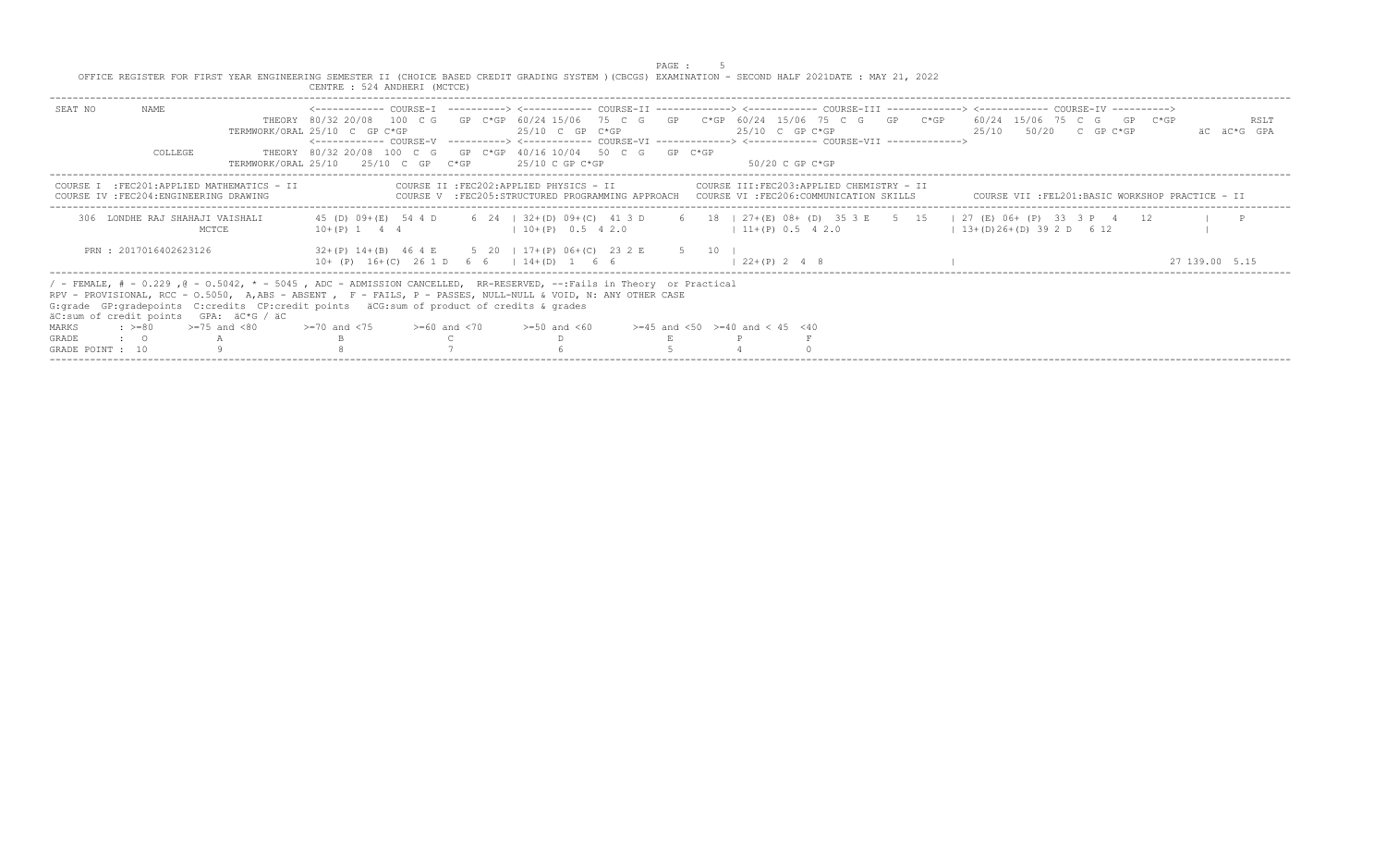PAGE : 5<br>OFFICE REGISTER FOR FIRST YEAR ENGINEERING SEMESTER II (CHOICE BASED CREDIT GRADING SYSTEM )(CBCGS) EXAMINATION - SECOND HALF 2021DATE : MAY 21, 2022 CENTRE : 524 ANDHERI (MCTCE)

| NAME.<br>SEAT NO                                  |                                                                                                                                                                                                                                                                                                                                       |                                                                                                                                       |  |                                          |                                                                                         |      |                                          |  |  |                           |  |                                                 |             |
|---------------------------------------------------|---------------------------------------------------------------------------------------------------------------------------------------------------------------------------------------------------------------------------------------------------------------------------------------------------------------------------------------|---------------------------------------------------------------------------------------------------------------------------------------|--|------------------------------------------|-----------------------------------------------------------------------------------------|------|------------------------------------------|--|--|---------------------------|--|-------------------------------------------------|-------------|
|                                                   |                                                                                                                                                                                                                                                                                                                                       | THEORY 80/32 20/08 100 C G GP C*GP 60/24 15/06 75 C G GP C*GP 60/24 15/06 75 C G GP C*GP 60/24 15/06 75 C G GP C*GP                   |  |                                          |                                                                                         |      |                                          |  |  |                           |  |                                                 | RSLT        |
|                                                   |                                                                                                                                                                                                                                                                                                                                       | TERMWORK/ORAL 25/10 C GP C*GP                                                                                                         |  | $25/10$ C GP C*GP                        |                                                                                         |      | 25/10 C GP C*GP                          |  |  | $25/10$ $50/20$ C GP C*GP |  |                                                 | AC AC*G GPA |
|                                                   |                                                                                                                                                                                                                                                                                                                                       | <------------ COURSE-V -----------> <----------- COURSE-VI -------------> <------------ COURSE-VII ------------->                     |  |                                          |                                                                                         |      |                                          |  |  |                           |  |                                                 |             |
| COLLEGE                                           |                                                                                                                                                                                                                                                                                                                                       | THEORY 80/32 20/08 100 C G GP C*GP 40/16 10/04 50 C G GP C*GP                                                                         |  |                                          |                                                                                         |      |                                          |  |  |                           |  |                                                 |             |
|                                                   |                                                                                                                                                                                                                                                                                                                                       | TERMWORK/ORAL 25/10 25/10 C GP C*GP                                                                                                   |  | 25/10 C GP C*GP                          |                                                                                         |      | $50/20$ C GP C*GP                        |  |  |                           |  |                                                 |             |
| COURSE<br>COURSE IV : FEC204: ENGINEERING DRAWING | :FEC201:APPLIED MATHEMATICS - II                                                                                                                                                                                                                                                                                                      |                                                                                                                                       |  | COURSE II : FEC202: APPLIED PHYSICS - II | COURSE V :FEC205:STRUCTURED PROGRAMMING APPROACH COURSE VI :FEC206:COMMUNICATION SKILLS |      | COURSE III:FEC203:APPLIED CHEMISTRY - II |  |  |                           |  | COURSE VII :FEL201:BASIC WORKSHOP PRACTICE - II |             |
| 306 LONDHE RAJ SHAHAJI VAISHALI                   | MCTCE                                                                                                                                                                                                                                                                                                                                 | 45 (D) 09+ (E) 54 4 D 6 24   32+ (D) 09+ (C) 41 3 D 6 18   27+ (E) 08+ (D) 35 3 E 5 15   27 (E) 06+ (P) 33 3 P 4 12<br>$10+(P)$ 1 4 4 |  | $1\ 10+(P)$ 0.5 4 2.0                    |                                                                                         |      | $11+ (P) 0.5 4 2.0$                      |  |  | $13+(D)26+(D)392D612$     |  |                                                 |             |
| PRN: 2017016402623126                             |                                                                                                                                                                                                                                                                                                                                       | 32+(P) 14+(B) 46 4 E 5 20 1 17+(P) 06+(C) 23 2 E<br>$10+ (P) 16+(C) 261 D 66 114+(D) 1 66$                                            |  |                                          |                                                                                         | 5 10 | $1, 22+(P)$ 2 4 8                        |  |  |                           |  | 27 139.00 5.1                                   |             |
| äC:sum of credit points GPA: äC*G / äC            | / - FEMALE, # - 0.229, @ - 0.5042, * - 5045, ADC - ADMISSION CANCELLED, RR-RESERVED, --:Fails in Theory or Practical<br>RPV - PROVISIONAL, RCC - 0.5050, A,ABS - ABSENT , F - FAILS, P - PASSES, NULL-NULL & VOID, N: ANY OTHER CASE<br>G: qrade GP: qradepoints C: credits CP: credit points äCG: sum of product of credits & qrades |                                                                                                                                       |  |                                          |                                                                                         |      |                                          |  |  |                           |  |                                                 |             |
| MARKS                                             | $\div$ >=80 >=75 and <80                                                                                                                                                                                                                                                                                                              | $>=70$ and $<75$ $>=60$ and $<70$                                                                                                     |  | $>=50$ and $<60$                         |                                                                                         |      | $>=45$ and $<50$ $>=40$ and $< 45$ $<40$ |  |  |                           |  |                                                 |             |
| GRADE<br>$\cdot$ $\cdot$ 0                        |                                                                                                                                                                                                                                                                                                                                       |                                                                                                                                       |  |                                          |                                                                                         |      |                                          |  |  |                           |  |                                                 |             |
| GRADE POINT : 10                                  |                                                                                                                                                                                                                                                                                                                                       |                                                                                                                                       |  |                                          |                                                                                         |      |                                          |  |  |                           |  |                                                 |             |
|                                                   |                                                                                                                                                                                                                                                                                                                                       |                                                                                                                                       |  |                                          |                                                                                         |      |                                          |  |  |                           |  |                                                 |             |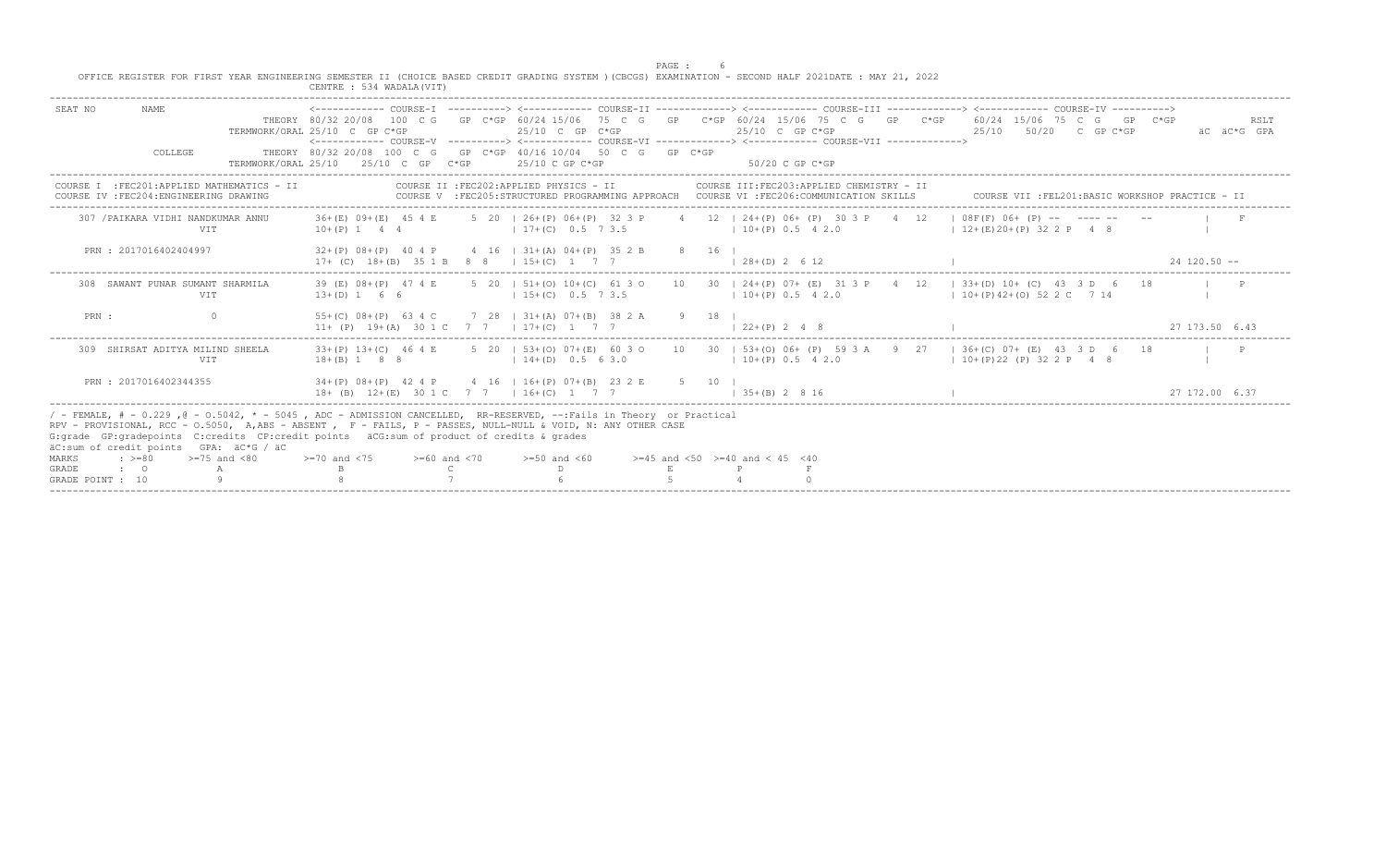PAGE : 6<br>OFFICE REGISTER FOR FIRST YEAR ENGINEERING SEMESTER II (CHOICE BASED CREDIT GRADING SYSTEM )(CBCGS) EXAMINATION - SECOND HALF 2021DATE : MAY 21, 2022

|                                                                                                                                | CENTRE : 534 WADALA (VIT)                                                                                                                                                                                                                                                                                                                                                                      |                                                                                                                                                                                                |                     |
|--------------------------------------------------------------------------------------------------------------------------------|------------------------------------------------------------------------------------------------------------------------------------------------------------------------------------------------------------------------------------------------------------------------------------------------------------------------------------------------------------------------------------------------|------------------------------------------------------------------------------------------------------------------------------------------------------------------------------------------------|---------------------|
| SEAT NO<br>NAME<br>COLLEGE                                                                                                     | TERMWORK/ORAL 25/10 C GP C*GP<br>$25/10$ C GP C*GP<br><------------ COURSE-V ----------> <------------ COURSE-VT -------------> <------------- COURSE-VTT -------------><br>THEORY 80/32 20/08 100 C G GP C*GP 40/16 10/04 50 C G GP C*GP<br>25/10 C GP<br>TERMWORK/ORAL 25/10<br>-25/10 C GP C*GP<br>$C*GP$                                                                                   | THEORY 80/32 20/08 100 C G GP C*GP 60/24 15/06 75 C G GP C*GP 60/24 15/06 75 C G GP C*GP 60/24 15/06 75 C G<br>GP C*GP<br>$25/10$ C GP C*GP<br>25/10<br>$50/20$ C GP C*GP<br>$50/20$ C GP C*GP | RSLT<br>äC äC*G GPA |
| :FEC201:APPLIED MATHEMATICS - II<br>COURSE I<br>COURSE IV : FEC204: ENGINEERING DRAWING                                        | COURSE II : FEC202: APPLIED PHYSICS - II<br>COURSE V : FEC205:STRUCTURED PROGRAMMING APPROACH COURSE VI : FEC206:COMMUNICATION SKILLS                                                                                                                                                                                                                                                          | COURSE III: FEC203: APPLIED CHEMISTRY - II<br>COURSE VII : FEL201: BASIC WORKSHOP PRACTICE - II                                                                                                |                     |
| 307 / PAIKARA VIDHI NANDKUMAR ANNU<br>VIT                                                                                      | 36+(E) 09+(E) 45 4 E<br>5 20 l 26+(P) 06+(P) 32 3 P<br>$10+(P)$ 1 4 4<br>$17+ (C)$ 0.5 7 3.5                                                                                                                                                                                                                                                                                                   | 4 12   24+(P) 06+ (P) 30 3 P 4 12<br>$1 \ 08F(F) \ 06+ (P)$ -- ---- -- --<br>$10+(P) 0.5 4 2.0$<br>$1 \t12+(E120+(P) \t322)$ P 4 8                                                             |                     |
| PRN: 2017016402404997                                                                                                          | $32+(P)$ $08+(P)$ 40 4 P<br>4 16   31 + (A) 04 + (P) 35 2 B<br>$17+$ (C) $18+(B)$ 35 1 B 8 8 1 15+ (C) 1                                                                                                                                                                                                                                                                                       | 8 16 1<br>$(1, 28 + (D), 2, 6, 12)$                                                                                                                                                            | $24$ 120.50 $-$     |
| 308 SAWANT PUNAR SUMANT SHARMILA<br>VIT                                                                                        | 39 (E) 08+(P) 47 4 E<br>$13+(D) 1 6 6$<br>$15+(C)$ 0.5 7 3.5                                                                                                                                                                                                                                                                                                                                   | 5 20   51+(0) 10+(C) 61 3 0 10 30   24+(P) 07+ (E) 31 3 P 4 12   33+(D) 10+ (C) 43 3 D 6 18<br>$10+(P)$ 0.5 4 2.0<br>$10+(P)42+(O)522C714$                                                     |                     |
| $\Omega$<br>PRN :                                                                                                              | $55+(C)$ $08+(P)$ 63 4 C<br>7 28   31 + (A) 07 + (B) 38 2 A 9 18<br>11+ (P) 19+(A) 30 1 C 7 7 1 17+(C) 1 7 7                                                                                                                                                                                                                                                                                   | $122+(P) 248$                                                                                                                                                                                  | 27 173 50 6 43      |
| 309 SHIRSAT ADITYA MILIND SHEELA<br>VIT                                                                                        | $33+(P)$ 13+(C) 46 4 E<br>$18 + (B)$ 1 8 8<br>$14+(D)$ 0.5 6 3.0                                                                                                                                                                                                                                                                                                                               | 5 20   53+(0) 07+(E) 60 3 0 10 30   53+(0) 06+ (P) 59 3 A 9 27<br>$1.36+$ (C) 0.7 + (E) 4.3 3 D 6 1.8<br>$10+(P)$ 0.5 4 2.0<br>$10+(P)22(P)322P$ 4 8                                           |                     |
| PRN: 2017016402344355                                                                                                          | $34+(P)$ 08+(P) 42 4 P 4 16   16+(P) 07+(B) 23 2 E<br>$18+$ (B) $12+(E)$ 30 1 C 7 7 1 16 + (C) 1 7 7                                                                                                                                                                                                                                                                                           | 5 10 1<br>$1.35+(B)$ 2 8 16                                                                                                                                                                    | 27 172 00 6 37      |
| äC:sum of credit points GPA: äC*G / äC<br>$\cdot$ >=80<br>$>=75$ and $< 80$<br>MARKS<br>GRADE<br>$\cdot$ 0<br>GRADE POINT : 10 | / - FEMALE, # - 0.229, @ - 0.5042, * - 5045, ADC - ADMISSION CANCELLED, RR-RESERVED, --:Fails in Theory or Practical<br>RPV - PROVISIONAL, RCC - 0.5050, A,ABS - ABSENT , F - FAILS, P - PASSES, NULL-NULL & VOID, N: ANY OTHER CASE<br>G: grade GP: gradepoints C: credits CP: credit points äCG: sum of product of credits & grades<br>$>=70$ and $<75$ $>=60$ and $<70$<br>$>=50$ and $<60$ | $>=45$ and $<50$ $>=40$ and $< 45$ $<40$                                                                                                                                                       |                     |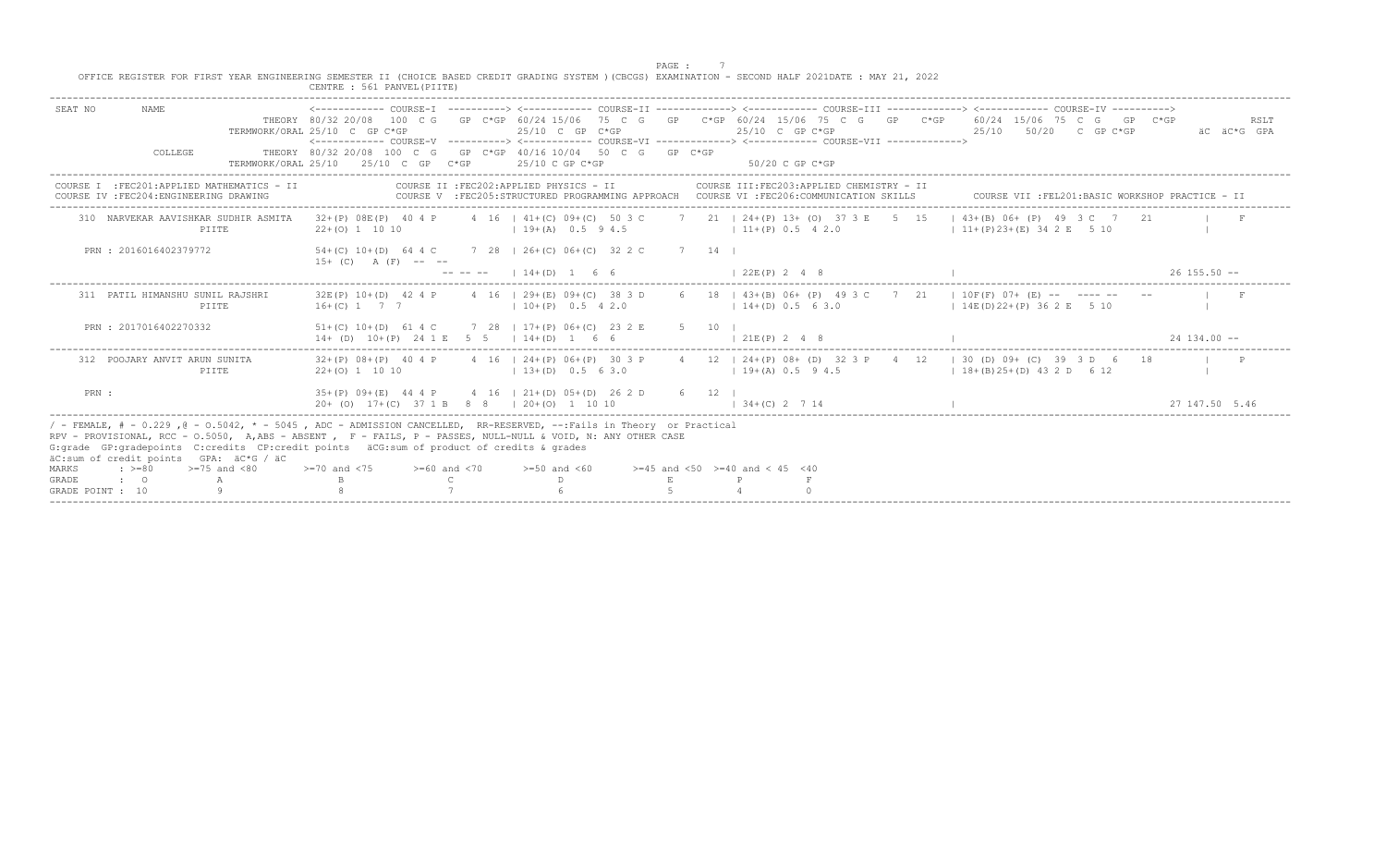|                                                                                                                                                                                                                                                                                                                                                                                 | CENTRE : 561 PANVEL (PIITE)                  |                                                                                    | PAGE :<br>OFFICE REGISTER FOR FIRST YEAR ENGINEERING SEMESTER II (CHOICE BASED CREDIT GRADING SYSTEM ) (CBCGS) EXAMINATION - SECOND HALF 2021DATE : MAY 21, 2022                                                                                                                                                                                                                                                   |                                                               |
|---------------------------------------------------------------------------------------------------------------------------------------------------------------------------------------------------------------------------------------------------------------------------------------------------------------------------------------------------------------------------------|----------------------------------------------|------------------------------------------------------------------------------------|--------------------------------------------------------------------------------------------------------------------------------------------------------------------------------------------------------------------------------------------------------------------------------------------------------------------------------------------------------------------------------------------------------------------|---------------------------------------------------------------|
| NAME<br>SEAT NO                                                                                                                                                                                                                                                                                                                                                                 | TERMWORK/ORAL 25/10 C GP C*GP                | $25/10$ C GP C*GP                                                                  | <------------ COURSE-I ----------> <----------- COURSE-II -------------> <----------- COURSE-III ------------> <----------> COURSE-IV ----------><br>THEORY 80/32 20/08 100 C G GP C*GP 60/24 15/06 75 C G GP C*GP 60/24 15/06 75 C G GP C*GP 60/24 15/06 75 C G GP C*GP<br>$25/10$ C GP C*GP<br><------------ COURSE-V ----------> <------------ COURSE-VI -------------> <------------ COURSE-VII -------------> | RSLT<br>25/10 50/20 C GP C*GP<br>äC äC*G GPA                  |
| COLLEGE                                                                                                                                                                                                                                                                                                                                                                         | TERMWORK/ORAI. 25/10 25/10 C GP C*GP         | THEORY 80/32 20/08 100 C G GP C*GP 40/16 10/04 50 C G GP C*GP<br>$25/10$ C GP C*GP | $50/20$ C GP C*GP                                                                                                                                                                                                                                                                                                                                                                                                  |                                                               |
| COURSE I : FEC201:APPLIED MATHEMATICS - II<br>COURSE IV : FEC204: ENGINEERING DRAWING                                                                                                                                                                                                                                                                                           |                                              | COURSE II : FEC202: APPLIED PHYSICS - II                                           | COURSE III: FEC203: APPLIED CHEMISTRY - II<br>COURSE V : FEC205: STRUCTURED PROGRAMMING APPROACH COURSE VI : FEC206: COMMUNICATION SKILLS                                                                                                                                                                                                                                                                          | COURSE VII : FEL201: BASIC WORKSHOP PRACTICE - II             |
| 310 NARVEKAR AAVISHKAR SUDHIR ASMITA<br>PIITE                                                                                                                                                                                                                                                                                                                                   | $22+(0)$ 1 10 10                             | $19+(A)$ 0.5 9 4.5                                                                 | 32+(P) 08E(P) 40 4 P 4 16   41+(C) 09+(C) 50 3 C 7 21   24+(P) 13+ (0) 37 3 E 5 15<br>$11+(P)$ 0.5 4 2.0                                                                                                                                                                                                                                                                                                           | $1\ 43+(B)\ 06+(P)\ 49\ 3C\ 7\ 21$<br>$11+(P)23+(E)342E$ 5 10 |
| PRN : 2016016402379772                                                                                                                                                                                                                                                                                                                                                          | $15+$ (C) A (F) -- --                        | 54+(C) 10+(D) 64 4 C 7 28   26+(C) 06+(C) 32 2 C<br>$--- --- --- 14+ (D) 1 6 6$    | 7 14 1<br>$1, 22E(P)$ , 2, 4, 8                                                                                                                                                                                                                                                                                                                                                                                    | $26$ 155.50 $-$                                               |
| 311 PATIL HIMANSHU SUNIL RAJSHRI<br>PIITE                                                                                                                                                                                                                                                                                                                                       | $16+(C)$ 1 7 7                               | 32E(P) 10+(D) 42 4 P 4 16   29+(E) 09+(C) 38 3 D<br>$10+(P)$ 0.5 4 2.0             | 6 18   43+(B) 06+ (P) 49 3 C 7 21   10F(F) 07+ (E) -- ---- -- --<br>$14+(D) 0.5 6 3.0$                                                                                                                                                                                                                                                                                                                             | $1.14E(D)22+(P)362E$ 5 10                                     |
| PRN : 2017016402270332                                                                                                                                                                                                                                                                                                                                                          | $14+$ (D) $10+(P)$ 24 1 E 5 5   14+(D) 1 6 6 | $51+(C)$ $10+(D)$ 61 4 C 7 28   17+(P) 06+(C) 23 2 E                               | $5 \t10 \t1$<br>121E(P) 2 4 8                                                                                                                                                                                                                                                                                                                                                                                      | $24$ 134 00 $-$                                               |
| 312 POOJARY ANVIT ARUN SUNITA<br>PIITE                                                                                                                                                                                                                                                                                                                                          | $22+(0)$ 1 10 10                             | $13+(D) 0.5 63.0$                                                                  | 32+(P) 08+(P) 40 4 P 4 16   24+(P) 06+(P) 30 3 P 4 12   24+(P) 08+ (D) 32 3 P 4 12   30 (D) 09+ (C) 39 3 D 6 18<br>$19+(A) 0.5 94.5$                                                                                                                                                                                                                                                                               | $1.18+(B)25+(D)$ 43 2 D 6 12                                  |
| PRN :                                                                                                                                                                                                                                                                                                                                                                           | 20+ (0) 17+(C) 37 1 B 8 8   20+(0) 1 10 10   | $35+(P)$ 09+(E) 44 4 P 4 16   21+(D) 05+(D) 26 2 D                                 | 6 12 1<br>$1 \t34 + (C) \t2 \t7 \t14$                                                                                                                                                                                                                                                                                                                                                                              | 27 147.50 5.46                                                |
| / - FEMALE, # - 0.229, @ - 0.5042, * - 5045, ADC - ADMISSION CANCELLED, RR-RESERVED, --:Fails in Theory or Practical<br>RPV - PROVISIONAL, RCC - 0.5050, A,ABS - ABSENT , F - FAILS, P - PASSES, NULL-NULL & VOID, N: ANY OTHER CASE<br>G: qrade GP: qradepoints C: credits CP: credit points äCG: sum of product of credits & qrades<br>äC:sum of credit points GPA: äC*G / äC |                                              |                                                                                    |                                                                                                                                                                                                                                                                                                                                                                                                                    |                                                               |
| $\cdot$ >=80<br>$>=75$ and $< 80$<br>MARKS<br>GRADE<br>$\cdot$ 0<br>A<br>GRADE POINT : 10                                                                                                                                                                                                                                                                                       | $>=60$ and $< 70$<br>$>=70$ and $<75$<br>B   | $>=50$ and $<60$                                                                   | $>=45$ and $<50$ $>=40$ and $< 45$ $<40$                                                                                                                                                                                                                                                                                                                                                                           |                                                               |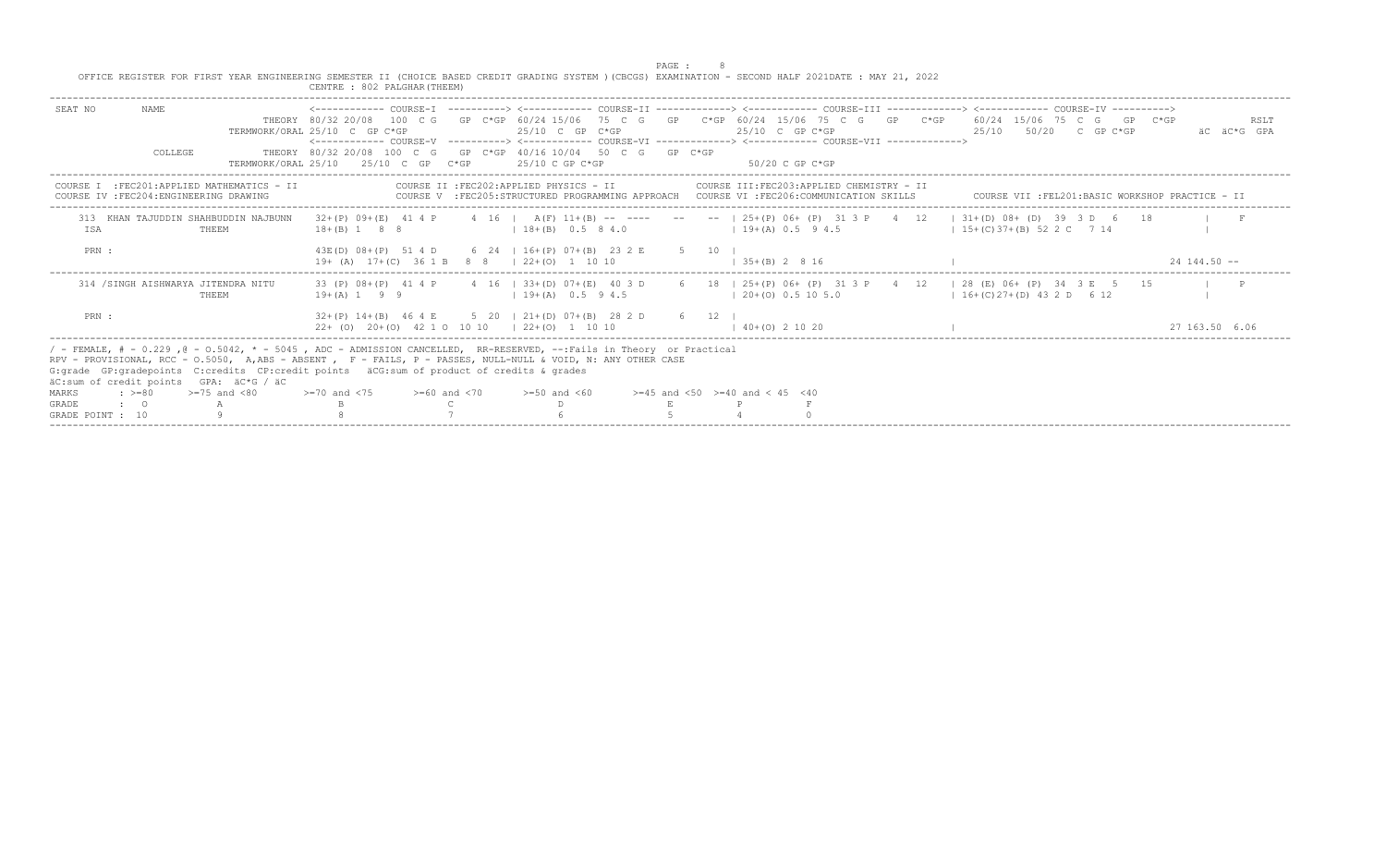|                                           |                                         | OFFICE REGISTER FOR FIRST YEAR ENGINEERING SEMESTER II (CHOICE BASED CREDIT GRADING SYSTEM ) (CBCGS) EXAMINATION - SECOND HALF 2021DATE : MAY 21, 2022                                                                                                                                                                                                                          | CENTRE : 802 PALGHAR (THEEM)                                                                                                                                                                                                                                               |  |                                                                                                                                     | PAGE : |        |                                          |                                            |  |                                     |                                                   |                 |                     |
|-------------------------------------------|-----------------------------------------|---------------------------------------------------------------------------------------------------------------------------------------------------------------------------------------------------------------------------------------------------------------------------------------------------------------------------------------------------------------------------------|----------------------------------------------------------------------------------------------------------------------------------------------------------------------------------------------------------------------------------------------------------------------------|--|-------------------------------------------------------------------------------------------------------------------------------------|--------|--------|------------------------------------------|--------------------------------------------|--|-------------------------------------|---------------------------------------------------|-----------------|---------------------|
| SEAT NO                                   | NAME.                                   |                                                                                                                                                                                                                                                                                                                                                                                 | THEORY 80/32 20/08 100 C G GP C*GP 60/24 15/06 75 C G GP C*GP 60/24 15/06 75 C G GP C*GP 60/24 15/06 75 C G GP C*GP<br>TERMWORK/ORAL 25/10 C GP C*GP<br><------------- COURSE-V ----------> <------------ COURSE-VI -------------> <------------ COURSE-VII -------------> |  | $25/10$ C GP C*GP                                                                                                                   |        |        | 25/10 C GP C*GP                          |                                            |  |                                     | 25/10 50/20 C GP C*GP                             |                 | RSLT<br>AC AC*G GPA |
|                                           | COLLEGE                                 |                                                                                                                                                                                                                                                                                                                                                                                 | THEORY 80/32 20/08 100 C G GP C*GP 40/16 10/04 50 C G GP C*GP<br>TERMWORK/ORAL $25/10$ $25/10$ C GP $C*GP$ $25/10$ C GP $C*GP$                                                                                                                                             |  |                                                                                                                                     |        |        | 50/20 C GP C*GP                          |                                            |  |                                     |                                                   |                 |                     |
|                                           | COURSE IV : FEC204: ENGINEERING DRAWING | COURSE I : FEC201: APPLIED MATHEMATICS - II                                                                                                                                                                                                                                                                                                                                     |                                                                                                                                                                                                                                                                            |  | COURSE II : FEC202: APPLIED PHYSICS - II<br>COURSE V :FEC205:STRUCTURED PROGRAMMING APPROACH COURSE VI :FEC206:COMMUNICATION SKILLS |        |        |                                          | COURSE III: FEC203: APPLIED CHEMISTRY - II |  |                                     | COURSE VII : FEL201: BASIC WORKSHOP PRACTICE - II |                 |                     |
| <b>TSA</b>                                |                                         | 313 KHAN TAJUDDIN SHAHBUDDIN NAJBUNN<br>THEEM                                                                                                                                                                                                                                                                                                                                   | 32+(P) 09+(E) 41 4 P 4 16   A(F) 11+(B) -- ---- -- --   25+(P) 06+ (P) 31 3 P 4 12   31+(D) 08+ (D) 39 3 D 6 18<br>$18+(B)$ 1 8 8                                                                                                                                          |  | $18 + (B) 0.5 8 4.0$                                                                                                                |        |        | $19+(A)$ 0.5 9 4.5                       |                                            |  | $1\,5+(C)\,37+(B)\,52\,2\,C\,7\,14$ |                                                   |                 |                     |
| PRN :                                     |                                         |                                                                                                                                                                                                                                                                                                                                                                                 | 43E(D) 08+(P) 51 4 D 6 24   16+(P) 07+(B) 23 2 E<br>$19+ (A)$ $17+(C)$ 36 1 B 8 8 $\mid$ 22+(0) 1 10 10                                                                                                                                                                    |  |                                                                                                                                     |        | 5 10 1 | $1 \t35+(R) \t2 \t8 \t16$                |                                            |  |                                     |                                                   | $24, 144, 50 -$ |                     |
|                                           | 314 / SINGH AISHWARYA JITENDRA NITU     | THEEM                                                                                                                                                                                                                                                                                                                                                                           | 33 (P) 08+(P) 41 4 P 4 16   33+(D) 07+(E) 40 3 D 6 18   25+(P) 06+ (P) 31 3 P 4 12   28 (E) 06+ (P) 34 3 E 5 15<br>$19 + (A) 1 9 9$                                                                                                                                        |  | $19+(A)$ 0.5 9 4.5                                                                                                                  |        |        | $(20+(0) 0.5 10 5.0)$                    |                                            |  | $16+(C)27+(D)432D+612$              |                                                   |                 |                     |
| PRN :                                     |                                         |                                                                                                                                                                                                                                                                                                                                                                                 | $32+(P)$ 14+(B) 46 4 E 5 20   21+(D) 07+(B) 28 2 D<br>22+ (0) 20+(0) 42 1 0 10 10   22+(0) 1 10 10                                                                                                                                                                         |  |                                                                                                                                     |        | 6 12 1 | $(40+ (0) 2 10 20$                       |                                            |  |                                     |                                                   | 27 163.50 6.06  |                     |
|                                           |                                         | / - FEMALE, # - 0.229, @ - 0.5042, * - 5045, ADC - ADMISSION CANCELLED, RR-RESERVED, --:Fails in Theory or Practical<br>RPV - PROVISIONAL, RCC - 0.5050, A,ABS - ABSENT , F - FAILS, P - PASSES, NULL-NULL & VOID, N: ANY OTHER CASE<br>G: grade GP: gradepoints C: credits CP: credit points äCG: sum of product of credits & grades<br>äC:sum of credit points GPA: äC*G / äC |                                                                                                                                                                                                                                                                            |  |                                                                                                                                     |        |        |                                          |                                            |  |                                     |                                                   |                 |                     |
| MARKS<br><b>GRADE</b><br>GRADE POINT : 10 | $\cdot$ >=80<br>$\cdot$ 0 A             | $>=75$ and $< 80$                                                                                                                                                                                                                                                                                                                                                               | $>=70$ and $<75$ $>=60$ and $<70$                                                                                                                                                                                                                                          |  | $>=50$ and $<60$                                                                                                                    |        |        | $>=45$ and $<50$ $>=40$ and $< 45$ $<40$ |                                            |  |                                     |                                                   |                 |                     |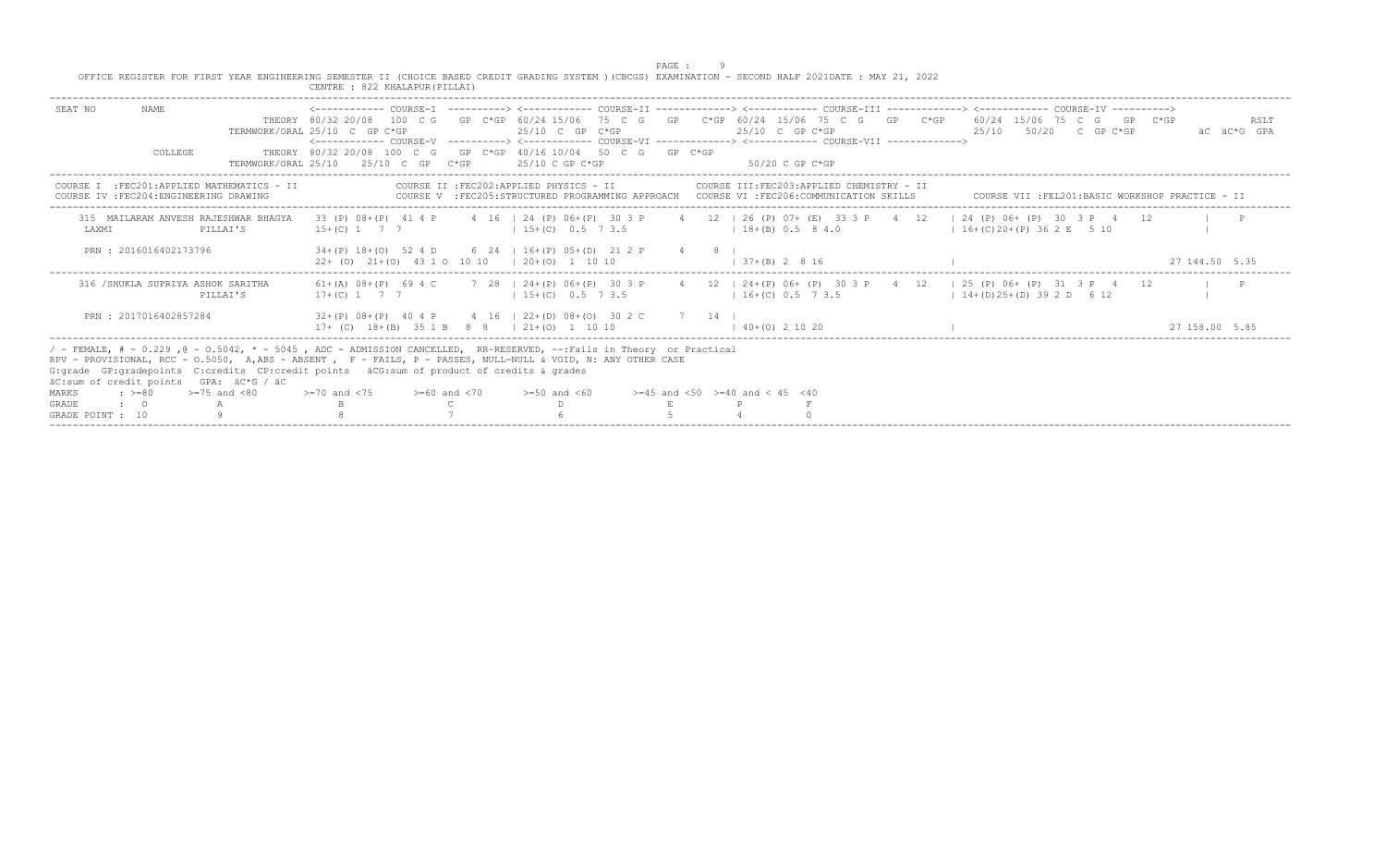|                  | OFFICE REGISTER FOR FIRST YEAR ENGINEERING SEMESTER II (CHOICE BASED CREDIT GRADING SYSTEM ) (CBCGS) EXAMINATION - SECOND HALF 2021DATE : MAY 21, 2022                                                                                                                                                                                                                                                                                                                                       |          | CENTRE : 822 KHALAPUR (PILLAI)                                                                                                                                                                                                                                                                                                                                                    |                                          |                    | PAGE : |                                          |                                                                                                                                         |  |                                 |  |                                                   |                     |
|------------------|----------------------------------------------------------------------------------------------------------------------------------------------------------------------------------------------------------------------------------------------------------------------------------------------------------------------------------------------------------------------------------------------------------------------------------------------------------------------------------------------|----------|-----------------------------------------------------------------------------------------------------------------------------------------------------------------------------------------------------------------------------------------------------------------------------------------------------------------------------------------------------------------------------------|------------------------------------------|--------------------|--------|------------------------------------------|-----------------------------------------------------------------------------------------------------------------------------------------|--|---------------------------------|--|---------------------------------------------------|---------------------|
| SEAT NO          | NAME.<br>COLLEGE                                                                                                                                                                                                                                                                                                                                                                                                                                                                             |          | __________________________________<br>THEORY 80/32 20/08 100 C G GP C*GP 60/24 15/06 75 C G GP C*GP 60/24 15/06 75 C G GP C*GP 60/24 15/06 75 C G GP C*GP<br>TERMWORK/ORAL 25/10 C GP C*GP<br><------------- COURSE-V ----------> <------------ COURSE-VI -------------> <------------ COURSE-VII -------------><br>THEORY 80/32 20/08 100 C G GP C*GP 40/16 10/04 50 C G GP C*GP |                                          | $25/10$ C GP C*GP  |        | 25/10 C GP C*GP                          |                                                                                                                                         |  | 25/10 50/20 C GP C*GP           |  |                                                   | RSLT<br>AC AC*G GPA |
|                  | COURSE I : FEC201: APPLIED MATHEMATICS - II<br>COURSE IV : FEC204: ENGINEERING DRAWING                                                                                                                                                                                                                                                                                                                                                                                                       |          | TERMWORK/ORAL 25/10 $25/10$ C GP C*GP $25/10$ C GP C*GP                                                                                                                                                                                                                                                                                                                           | COURSE II : FEC202: APPLIED PHYSICS - II |                    |        | 50/20 C GP C*GP                          | COURSE III:FEC203:APPLIED CHEMISTRY - II<br>COURSE V : FEC205: STRUCTURED PROGRAMMING APPROACH COURSE VI : FEC206: COMMUNICATION SKILLS |  |                                 |  | COURSE VII : FEL201: BASIC WORKSHOP PRACTICE - II |                     |
| LAXMI            | 315 MAILARAM ANVESH RAJESHWAR BHAGYA                                                                                                                                                                                                                                                                                                                                                                                                                                                         | PILLAI'S | 33 (P) 08+(P) 41 4 P 4 16   24 (P) 06+(P) 30 3 P 4 12   26 (P) 07+ (E) 33 3 P 4 12   24 (P) 06+ (P) 30 3 P 4 12<br>$15+(C)$ 1 7 7                                                                                                                                                                                                                                                 | $15+(C)$ 0.5 7 3.5                       |                    |        | $18+(B)$ 0.5 8 4.0                       |                                                                                                                                         |  | $16 + (C) 20 + (P) 36 2 E 5 10$ |  |                                                   |                     |
|                  | PRN: 2016016402173796                                                                                                                                                                                                                                                                                                                                                                                                                                                                        |          | $34+(P)$ 18+(0) 52 4 D 6 24   16+(P) 05+(D) 21 2 P 4 8  <br>$22+$ (0) $21+(0)$ 43 1 0 10 10   20+(0) 1 10 10                                                                                                                                                                                                                                                                      |                                          |                    |        | $(37 + (B) 2 8 16)$                      |                                                                                                                                         |  |                                 |  | 27 144.50 5.35                                    |                     |
|                  | 316 /SHUKLA SUPRIYA ASHOK SARITHA                                                                                                                                                                                                                                                                                                                                                                                                                                                            | PILLAI'S | 61+(A) 08+(P) 69 4 C 7 28   24+(P) 06+(P) 30 3 P 4 12   24+(P) 06+ (P) 30 3 P 4 12   25 (P) 06+ (P) 31 3 P 4 12<br>$17+(C)$ 1 7 7                                                                                                                                                                                                                                                 |                                          | $15+(C)$ 0.5 7 3.5 |        |                                          | $16+(C)$ 0.5 7 3.5 $14+(D)$ 25+(D) 39 2 D 6 12                                                                                          |  |                                 |  |                                                   |                     |
|                  | PRN: 2017016402857284                                                                                                                                                                                                                                                                                                                                                                                                                                                                        |          | $32+(P)$ 08+(P) 40 4 P 4 16   22+(D) 08+(O) 30 2 C 7 14  <br>$17+$ (C) $18+(B)$ 35 1 B 8 8   21+(0) 1 10 10                                                                                                                                                                                                                                                                       |                                          |                    |        | $(40+ (0) 2 10 20)$                      |                                                                                                                                         |  |                                 |  | 27 158.00 5.85                                    |                     |
| MARKS<br>GRADE   | / - FEMALE, # - 0.229, @ - 0.5042, * - 5045, ADC - ADMISSION CANCELLED, RR-RESERVED, --:Fails in Theory or Practical<br>RPV - PROVISIONAL, RCC - 0.5050, A,ABS - ABSENT , F - FAILS, P - PASSES, NULL-NULL & VOID, N: ANY OTHER CASE<br>G: grade GP: gradepoints C: credits CP: credit points äCG: sum of product of credits & grades<br>äC:sum of credit points GPA: äC*G / äC<br>$>=75$ and $< 80$<br>$\div$ >=80<br>$\bullet$ $\bullet$ $\bullet$ $\bullet$ $\bullet$ $\bullet$ $\bullet$ |          | $>=70$ and $<75$ $>=60$ and $<70$ $>=50$ and $<60$                                                                                                                                                                                                                                                                                                                                |                                          |                    |        | $>=45$ and $<50$ $>=40$ and $< 45$ $<40$ |                                                                                                                                         |  |                                 |  |                                                   |                     |
| GRADE POINT : 10 |                                                                                                                                                                                                                                                                                                                                                                                                                                                                                              |          |                                                                                                                                                                                                                                                                                                                                                                                   |                                          |                    |        |                                          |                                                                                                                                         |  |                                 |  |                                                   |                     |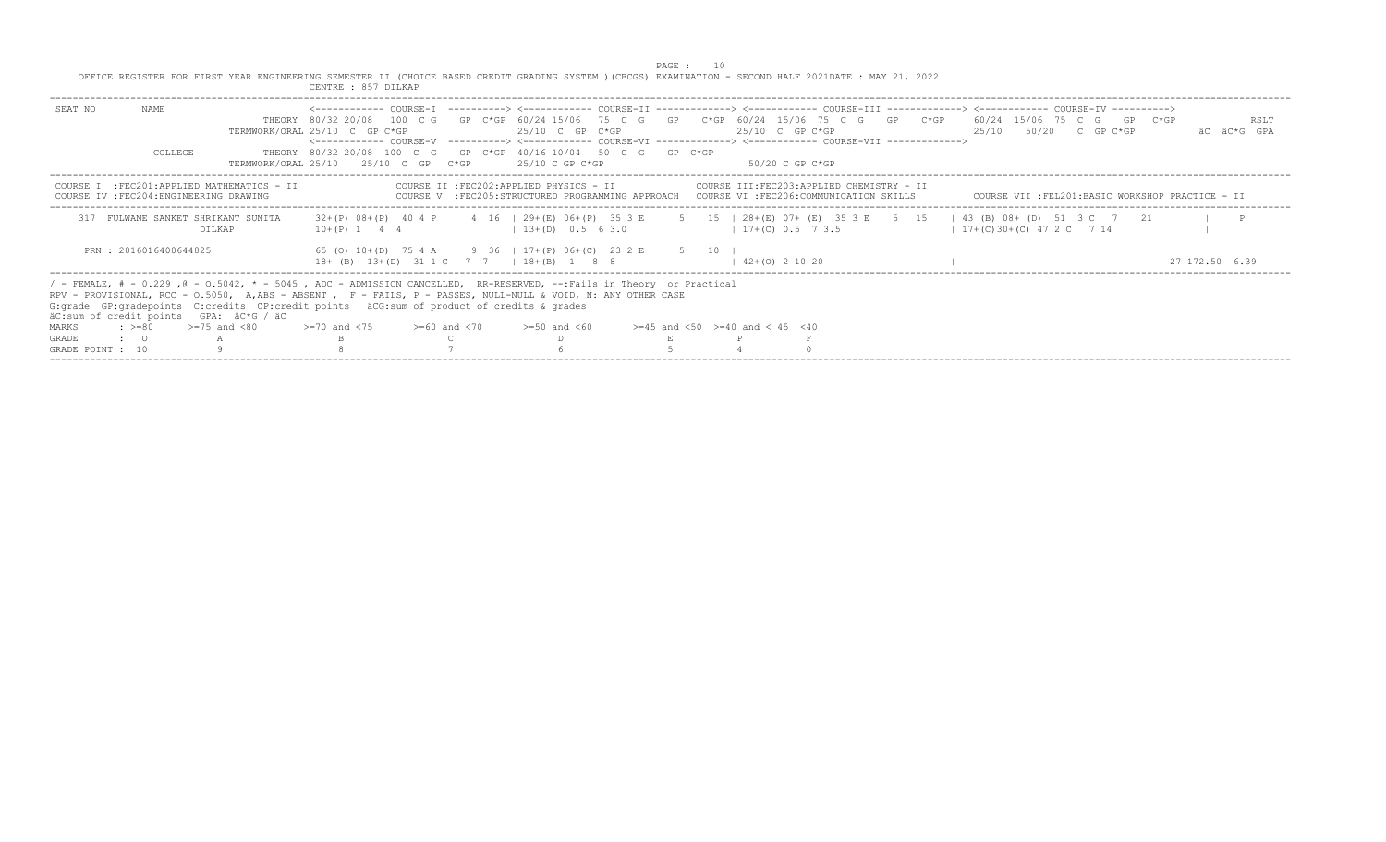PAGE : 10<br>OFFICE REGISTER FOR FIRST YEAR ENGINEERING SEMESTER II (CHOICE BASED CREDIT GRADING SYSTEM )(CBCGS) EXAMINATION - SECOND HALF 2021DATE : MAY 21, 2022<br>CENTRE : 857 DILKAP

|                  |                          |                                                                                                                                                                                                                                                                                                                                                                                | CENIKE : 0J/ DILAN                                                                                                                                                                                                                                                                                                                         |  |                                                                                                                                     |  |                                              |                                          |  |                       |                                                 |  |                     |
|------------------|--------------------------|--------------------------------------------------------------------------------------------------------------------------------------------------------------------------------------------------------------------------------------------------------------------------------------------------------------------------------------------------------------------------------|--------------------------------------------------------------------------------------------------------------------------------------------------------------------------------------------------------------------------------------------------------------------------------------------------------------------------------------------|--|-------------------------------------------------------------------------------------------------------------------------------------|--|----------------------------------------------|------------------------------------------|--|-----------------------|-------------------------------------------------|--|---------------------|
| SEAT NO          | NAME.<br>COLLEGE         |                                                                                                                                                                                                                                                                                                                                                                                | THEORY 80/32 20/08 100 C G GP C*GP 60/24 15/06 75 C G GP C*GP 60/24 15/06 75 C G GP C*GP 60/24 15/06 75 C G GP C*GP<br>TERMWORK/ORAL 25/10 C GP C*GP<br><------------ COURSE-V ----------> <------------ COURSE-VI -------------> <------------ COURSE-VII -------------><br>THEORY 80/32 20/08 100 C G GP C*GP 40/16 10/04 50 C G GP C*GP |  | $25/10$ C GP C*GP                                                                                                                   |  | $25/10$ C GP C*GP                            |                                          |  |                       | 25/10 50/20 C GP C*GP                           |  | RSLT<br>AC AC*G GPA |
|                  |                          |                                                                                                                                                                                                                                                                                                                                                                                | TERMWORK/ORAL 25/10 $25/10$ C GP C*GP $25/10$ C GP C*GP                                                                                                                                                                                                                                                                                    |  |                                                                                                                                     |  | - 50/20 C GP C*GP                            |                                          |  |                       |                                                 |  |                     |
| COURSE.          |                          | :FEC201:APPLIED MATHEMATICS - II<br>COURSE IV : FEC204: ENGINEERING DRAWING                                                                                                                                                                                                                                                                                                    |                                                                                                                                                                                                                                                                                                                                            |  | COURSE II : FEC202: APPLIED PHYSICS - II<br>COURSE V :FEC205:STRUCTURED PROGRAMMING APPROACH COURSE VI :FEC206:COMMUNICATION SKILLS |  |                                              | COURSE III:FEC203:APPLIED CHEMISTRY - II |  |                       | COURSE VII :FEL201:BASIC WORKSHOP PRACTICE - II |  |                     |
|                  |                          | 317 FULWANE SANKET SHRIKANT SUNITA<br>DILKAP                                                                                                                                                                                                                                                                                                                                   | 32+(P) 08+(P) 40 4 P 4 16   29+(E) 06+(P) 35 3 E 5 15   28+(E) 07+ (E) 35 3 E 5 15   43 (B) 08+ (D) 51 3 C 7 21<br>$10+(P)$ 1 4 4                                                                                                                                                                                                          |  | $13+(D)$ 0.5 6 3.0                                                                                                                  |  | $17+(C)$ 0.5 7 3.5                           |                                          |  | $17+(C)30+(C)472C714$ |                                                 |  |                     |
|                  | PRN: 2016016400644825    |                                                                                                                                                                                                                                                                                                                                                                                | 65 (0) 10 + (D) 75 4 A 9 36   17 + (P) 06 + (C) 23 2 E 5 10  <br>18+ (B) 13+(D) 31 1 C 7 7   18+(B) 1 8 8                                                                                                                                                                                                                                  |  |                                                                                                                                     |  | $42+(0)$ 2 10 20                             |                                          |  |                       |                                                 |  |                     |
|                  |                          | / - FEMALE, # - 0.229,0 - 0.5042, * - 5045, ADC - ADMISSION CANCELLED, RR-RESERVED, --:Fails in Theory or Practical<br>RPV - PROVISIONAL, RCC - 0.5050, A,ABS - ABSENT , F - FAILS, P - PASSES, NULL-NULL & VOID, N: ANY OTHER CASE<br>G: qrade GP: qradepoints C: credits CP: credit points äCG: sum of product of credits & qrades<br>äC:sum of credit points GPA: äC*G / äC |                                                                                                                                                                                                                                                                                                                                            |  |                                                                                                                                     |  |                                              |                                          |  |                       |                                                 |  |                     |
| MARKS            | $\div$ >=80 >=75 and <80 |                                                                                                                                                                                                                                                                                                                                                                                | $>=70$ and $<75$ $>=60$ and $<70$                                                                                                                                                                                                                                                                                                          |  | $>=50$ and $<60$                                                                                                                    |  | $>= 45$ and $< 50$ $>= 40$ and $< 45$ $< 40$ |                                          |  |                       |                                                 |  |                     |
| <b>GRADE</b>     | $\cdot$ $\cdot$ 0        |                                                                                                                                                                                                                                                                                                                                                                                |                                                                                                                                                                                                                                                                                                                                            |  |                                                                                                                                     |  |                                              |                                          |  |                       |                                                 |  |                     |
| GRADE POINT : 10 |                          |                                                                                                                                                                                                                                                                                                                                                                                |                                                                                                                                                                                                                                                                                                                                            |  |                                                                                                                                     |  |                                              |                                          |  |                       |                                                 |  |                     |
|                  |                          |                                                                                                                                                                                                                                                                                                                                                                                |                                                                                                                                                                                                                                                                                                                                            |  |                                                                                                                                     |  |                                              |                                          |  |                       |                                                 |  |                     |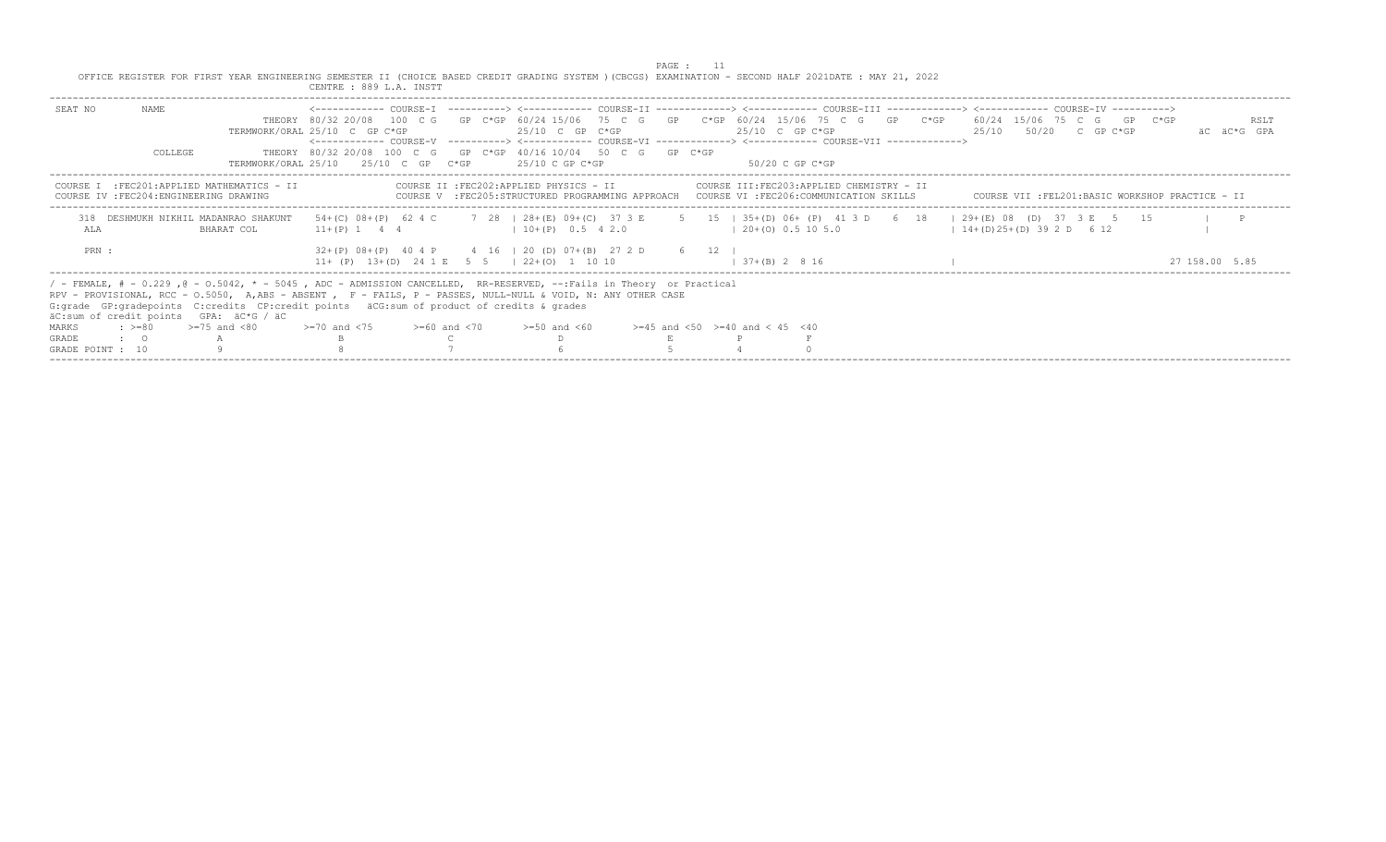|                  |                  |                                                                                                                                                                                                                                                                                                                                                                                 |                                                                                                                                       |  |                                                                                                             | PAGE : 11 |                                                                                                                                                                                                                                                                                     |  |                                                   |                       |                     |
|------------------|------------------|---------------------------------------------------------------------------------------------------------------------------------------------------------------------------------------------------------------------------------------------------------------------------------------------------------------------------------------------------------------------------------|---------------------------------------------------------------------------------------------------------------------------------------|--|-------------------------------------------------------------------------------------------------------------|-----------|-------------------------------------------------------------------------------------------------------------------------------------------------------------------------------------------------------------------------------------------------------------------------------------|--|---------------------------------------------------|-----------------------|---------------------|
|                  |                  | OFFICE REGISTER FOR FIRST YEAR ENGINEERING SEMESTER II (CHOICE BASED CREDIT GRADING SYSTEM )(CBCGS) EXAMINATION - SECOND HALF 2021DATE : MAY 21, 2022                                                                                                                                                                                                                           | CENTRE : 889 L.A. INSTT                                                                                                               |  |                                                                                                             |           |                                                                                                                                                                                                                                                                                     |  |                                                   |                       |                     |
| SEAT NO          | NAME.<br>COLLEGE |                                                                                                                                                                                                                                                                                                                                                                                 | TERMWORK/ORAL 25/10 C GP C*GP<br>THEORY 80/32 20/08 100 C G GP C*GP 40/16 10/04 50 C G GP C*GP<br>TERMWORK/ORAL 25/10 25/10 C GP C*GP |  | 25/10 C GP C*GP<br>25/10 C GP C*GP                                                                          |           | THEORY 80/32 20/08 100 C G GP C*GP 60/24 15/06 75 C G GP C*GP 60/24 15/06 75 C G GP C*GP 60/24 15/06 75 C G GP C*GP<br>$25/10$ C GP C*GP<br><------------ COURSE-V -----------> <------------ COURSE-VI -------------> <------------ COURSE-VII -------------><br>$50/20$ C GP C*GP |  |                                                   | 25/10 50/20 C GP C*GP | RSLT<br>AC AC*G GPA |
|                  |                  | COURSE I : FEC201: APPLIED MATHEMATICS - II<br>COURSE IV : FEC204: ENGINEERING DRAWING                                                                                                                                                                                                                                                                                          |                                                                                                                                       |  | COURSE II : FEC202: APPLIED PHYSICS - II                                                                    |           | COURSE III:FEC203:APPLIED CHEMISTRY - II<br>COURSE V :FEC205:STRUCTURED PROGRAMMING APPROACH COURSE VI :FEC206:COMMUNICATION SKILLS                                                                                                                                                 |  | COURSE VII : FEL201: BASIC WORKSHOP PRACTICE - II |                       |                     |
| ALA              |                  | 318 DESHMUKH NIKHIL MADANRAO SHAKUNT<br>BHARAT COL                                                                                                                                                                                                                                                                                                                              | $11+(P)$ 1 4 4                                                                                                                        |  | $10+(P)$ 0.5 4 2.0                                                                                          |           | 54+(C) 08+(P) 62 4 C 7 28   28+(E) 09+(C) 37 3 E 5 15   35+(D) 06+ (P) 41 3 D 6 18   29+(E) 08 (D) 37 3 E 5 15<br>$(20+ (0) 0.5 10 5.0)$                                                                                                                                            |  | $14+(D)25+(D)392D612$                             |                       | $\blacksquare$      |
| PRN :            |                  |                                                                                                                                                                                                                                                                                                                                                                                 |                                                                                                                                       |  | $32+(P)$ 08+(P) 40 4 P 4 16   20 (D) 07+(B) 27 2 D 6 12  <br>$11+$ (P) $13+(D)$ 24 1 E 5 5   22+(0) 1 10 10 |           | $1, 37 + (B)$ 2 8 16                                                                                                                                                                                                                                                                |  |                                                   |                       | 27 158.00 5.85      |
|                  |                  | / - FEMALE, # - 0.229, @ - 0.5042, * - 5045, ADC - ADMISSION CANCELLED, RR-RESERVED, --:Fails in Theory or Practical<br>RPV - PROVISIONAL, RCC - 0.5050, A,ABS - ABSENT , F - FAILS, P - PASSES, NULL-NULL & VOID, N: ANY OTHER CASE<br>G: qrade GP: qradepoints C: credits CP: credit points äCG: sum of product of credits & qrades<br>äC:sum of credit points GPA: äC*G / äC |                                                                                                                                       |  |                                                                                                             |           |                                                                                                                                                                                                                                                                                     |  |                                                   |                       |                     |
| MARKS            | $: z = 80$       | $>=75$ and $<80$                                                                                                                                                                                                                                                                                                                                                                | $>=70$ and $<75$ $>=60$ and $<70$                                                                                                     |  | $>=50$ and $<60$                                                                                            |           | $>=45$ and $<50$ $>=40$ and $< 45$ $<40$                                                                                                                                                                                                                                            |  |                                                   |                       |                     |
| <b>GRADE</b>     | $\cdot$ : 0      |                                                                                                                                                                                                                                                                                                                                                                                 |                                                                                                                                       |  |                                                                                                             |           |                                                                                                                                                                                                                                                                                     |  |                                                   |                       |                     |
| GRADE POINT : 10 |                  |                                                                                                                                                                                                                                                                                                                                                                                 |                                                                                                                                       |  |                                                                                                             |           |                                                                                                                                                                                                                                                                                     |  |                                                   |                       |                     |
|                  |                  |                                                                                                                                                                                                                                                                                                                                                                                 |                                                                                                                                       |  |                                                                                                             |           |                                                                                                                                                                                                                                                                                     |  |                                                   |                       |                     |